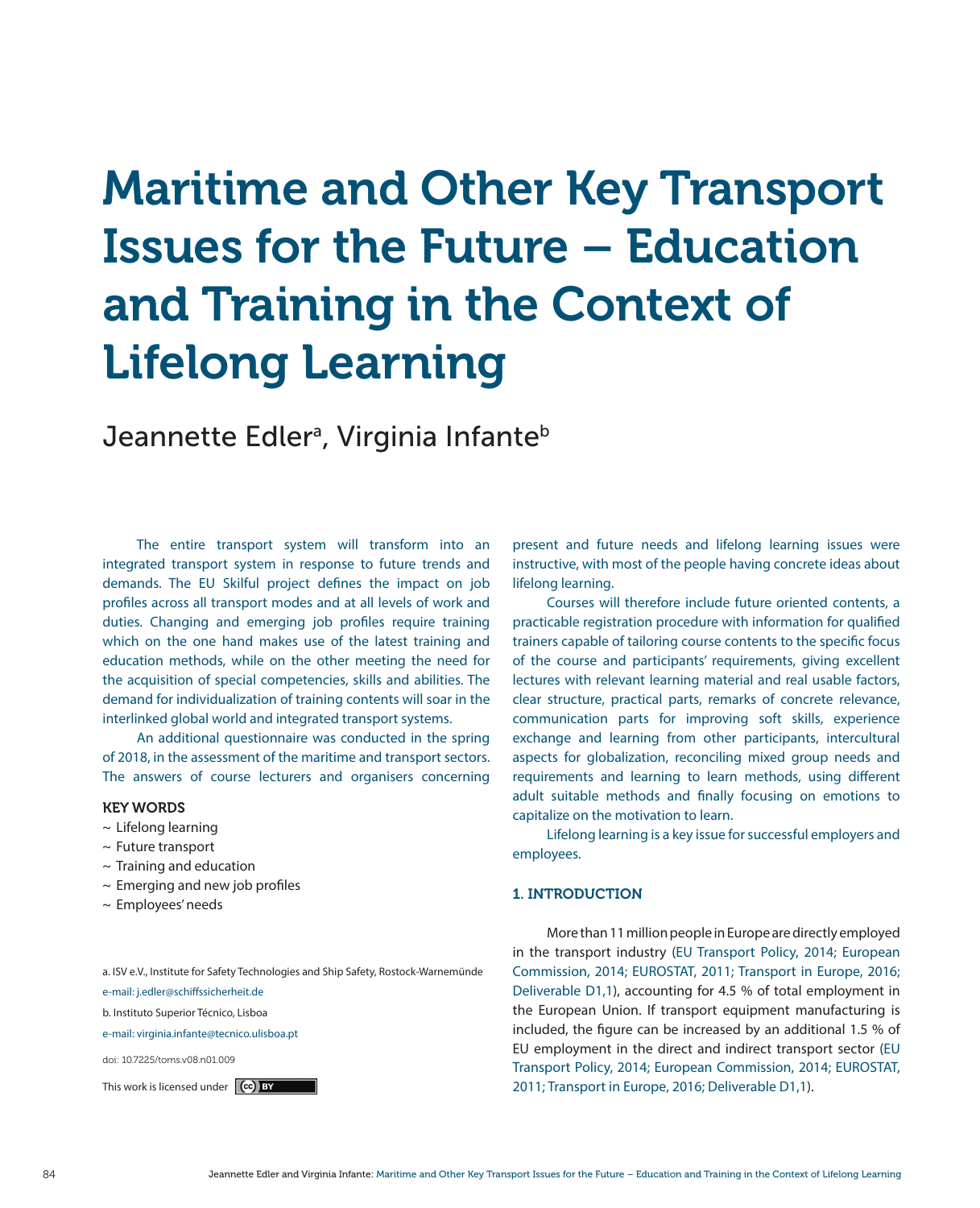# Maritime and Other Key Transport Issues for the Future – Education and Training in the Context of Lifelong Learning

Jeannette Edlerª, Virginia Infante<sup>b</sup>

The entire transport system will transform into an integrated transport system in response to future trends and demands. The EU Skilful project defines the impact on job profiles across all transport modes and at all levels of work and duties. Changing and emerging job profiles require training which on the one hand makes use of the latest training and education methods, while on the other meeting the need for the acquisition of special competencies, skills and abilities. The demand for individualization of training contents will soar in the interlinked global world and integrated transport systems.

An additional questionnaire was conducted in the spring of 2018, in the assessment of the maritime and transport sectors. The answers of course lecturers and organisers concerning

## KEY WORDS

- $\sim$  Lifelong learning
- $\sim$  Future transport
- $\sim$  Training and education
- $\sim$  Emerging and new job profiles
- 

a. ISV e.V., Institute for Safety Technologies and Ship Safety, Rostock-Warnemünde

e-mail: j.edler@schiffssicherheit.de

b. Instituto Superior Técnico, Lisboa

e-mail: virginia.infante@tecnico.ulisboa.pt

doi: 10.7225/toms.v08.n01.009

present and future needs and lifelong learning issues were instructive, with most of the people having concrete ideas about lifelong learning.

Courses will therefore include future oriented contents, a practicable registration procedure with information for qualified trainers capable of tailoring course contents to the specific focus of the course and participants' requirements, giving excellent lectures with relevant learning material and real usable factors, clear structure, practical parts, remarks of concrete relevance, communication parts for improving soft skills, experience exchange and learning from other participants, intercultural aspects for globalization, reconciling mixed group needs and requirements and learning to learn methods, using different adult suitable methods and finally focusing on emotions to capitalize on the motivation to learn.

Lifelong learning is a key issue for successful employers and employees.

## $\sim$  Emerging and new job promes<br>  $\sim$  Employees' needs

More than 11 million people in Europe are directly employed in the transport industry (EU Transport Policy, 2014; European Commission, 2014; EUROSTAT, 2011; Transport in Europe, 2016; Deliverable D1,1), accounting for 4.5 % of total employment in the European Union. If transport equipment manufacturing is included, the figure can be increased by an additional 1.5 % of EU employment in the direct and indirect transport sector (EU Transport Policy, 2014; European Commission, 2014; EUROSTAT, This work is licensed under **(cc) BY** 2011; Transport in Europe, 2016; Deliverable D1,1).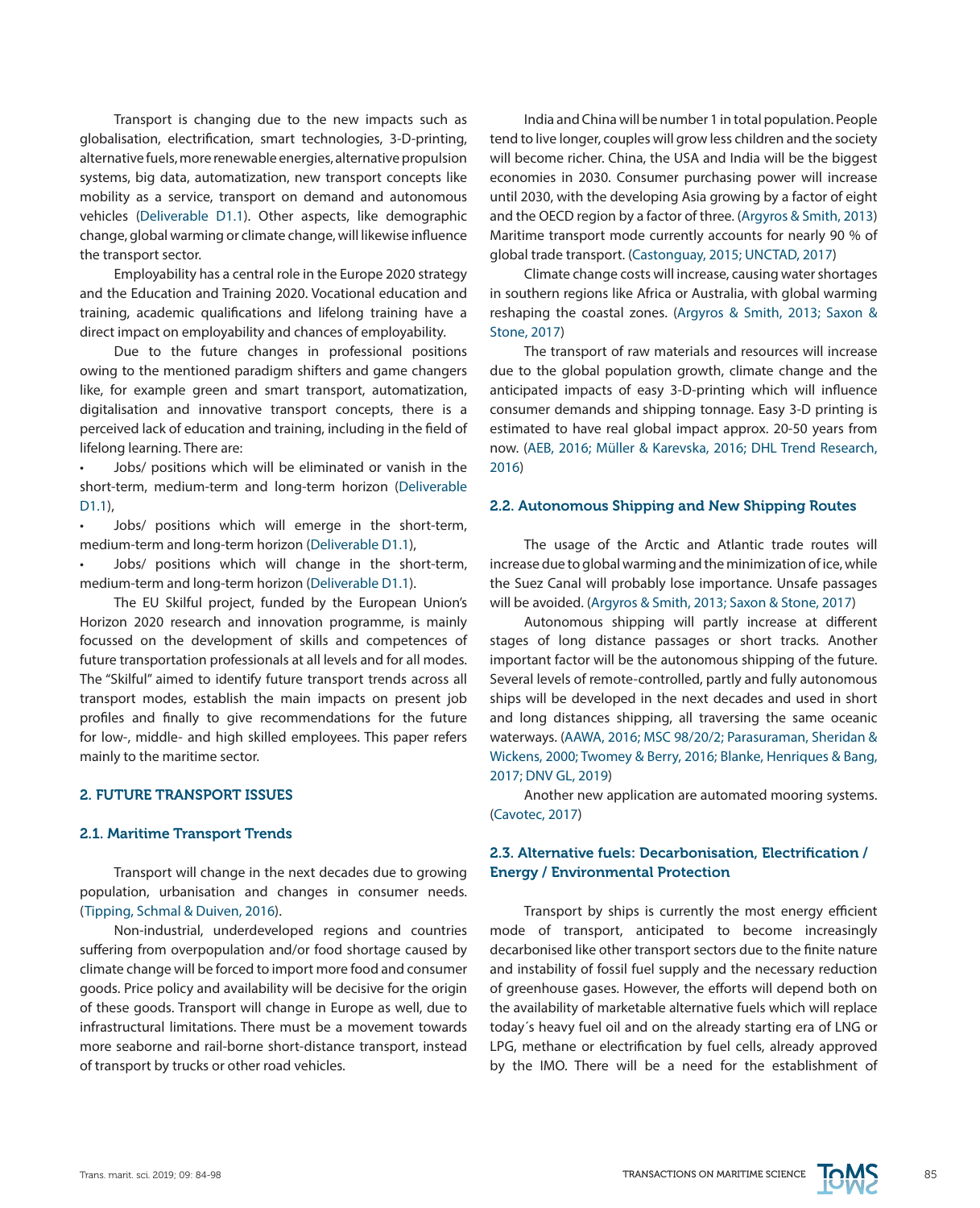Transport is changing due to the new impacts such as globalisation, electrification, smart technologies, 3-D-printing, alternative fuels, more renewable energies, alternative propulsion systems, big data, automatization, new transport concepts like mobility as a service, transport on demand and autonomous vehicles (Deliverable D1.1). Other aspects, like demographic change, global warming or climate change, will likewise influence the transport sector.

Employability has a central role in the Europe 2020 strategy and the Education and Training 2020. Vocational education and training, academic qualifications and lifelong training have a direct impact on employability and chances of employability.

Due to the future changes in professional positions owing to the mentioned paradigm shifters and game changers like, for example green and smart transport, automatization, digitalisation and innovative transport concepts, there is a perceived lack of education and training, including in the field of lifelong learning. There are:

Jobs/ positions which will be eliminated or vanish in the short-term, medium-term and long-term horizon (Deliverable D1.1),

• Jobs/ positions which will emerge in the short-term, medium-term and long-term horizon (Deliverable D1.1),

Jobs/ positions which will change in the short-term, medium-term and long-term horizon (Deliverable D1.1).

The EU Skilful project, funded by the European Union's Horizon 2020 research and innovation programme, is mainly focussed on the development of skills and competences of future transportation professionals at all levels and for all modes. The "Skilful" aimed to identify future transport trends across all transport modes, establish the main impacts on present job profiles and finally to give recommendations for the future for low-, middle- and high skilled employees. This paper refers mainly to the maritime sector.

## 2. FUTURE TRANSPORT ISSUES

#### 2.1. Maritime Transport Trends

Transport will change in the next decades due to growing population, urbanisation and changes in consumer needs. (Tipping, Schmal & Duiven, 2016).

Non-industrial, underdeveloped regions and countries suffering from overpopulation and/or food shortage caused by climate change will be forced to import more food and consumer goods. Price policy and availability will be decisive for the origin of these goods. Transport will change in Europe as well, due to infrastructural limitations. There must be a movement towards more seaborne and rail-borne short-distance transport, instead of transport by trucks or other road vehicles.

India and China will be number 1 in total population. People tend to live longer, couples will grow less children and the society will become richer. China, the USA and India will be the biggest economies in 2030. Consumer purchasing power will increase until 2030, with the developing Asia growing by a factor of eight and the OECD region by a factor of three. (Argyros & Smith, 2013) Maritime transport mode currently accounts for nearly 90 % of global trade transport. (Castonguay, 2015; UNCTAD, 2017)

Climate change costs will increase, causing water shortages in southern regions like Africa or Australia, with global warming reshaping the coastal zones. (Argyros & Smith, 2013; Saxon & Stone, 2017)

The transport of raw materials and resources will increase due to the global population growth, climate change and the anticipated impacts of easy 3-D-printing which will influence consumer demands and shipping tonnage. Easy 3-D printing is estimated to have real global impact approx. 20-50 years from now. (AEB, 2016; Müller & Karevska, 2016; DHL Trend Research, 2016)

## 2.2. Autonomous Shipping and New Shipping Routes

The usage of the Arctic and Atlantic trade routes will increase due to global warming and the minimization of ice, while the Suez Canal will probably lose importance. Unsafe passages will be avoided. (Argyros & Smith, 2013; Saxon & Stone, 2017)

Autonomous shipping will partly increase at different stages of long distance passages or short tracks. Another important factor will be the autonomous shipping of the future. Several levels of remote-controlled, partly and fully autonomous ships will be developed in the next decades and used in short and long distances shipping, all traversing the same oceanic waterways. (AAWA, 2016; MSC 98/20/2; Parasuraman, Sheridan & Wickens, 2000; Twomey & Berry, 2016; Blanke, Henriques & Bang, 2017; DNV GL, 2019)

Another new application are automated mooring systems. (Cavotec, 2017)

## 2.3. Alternative fuels: Decarbonisation, Electrification / Energy / Environmental Protection

Transport by ships is currently the most energy efficient mode of transport, anticipated to become increasingly decarbonised like other transport sectors due to the finite nature and instability of fossil fuel supply and the necessary reduction of greenhouse gases. However, the efforts will depend both on the availability of marketable alternative fuels which will replace today´s heavy fuel oil and on the already starting era of LNG or LPG, methane or electrification by fuel cells, already approved by the IMO. There will be a need for the establishment of

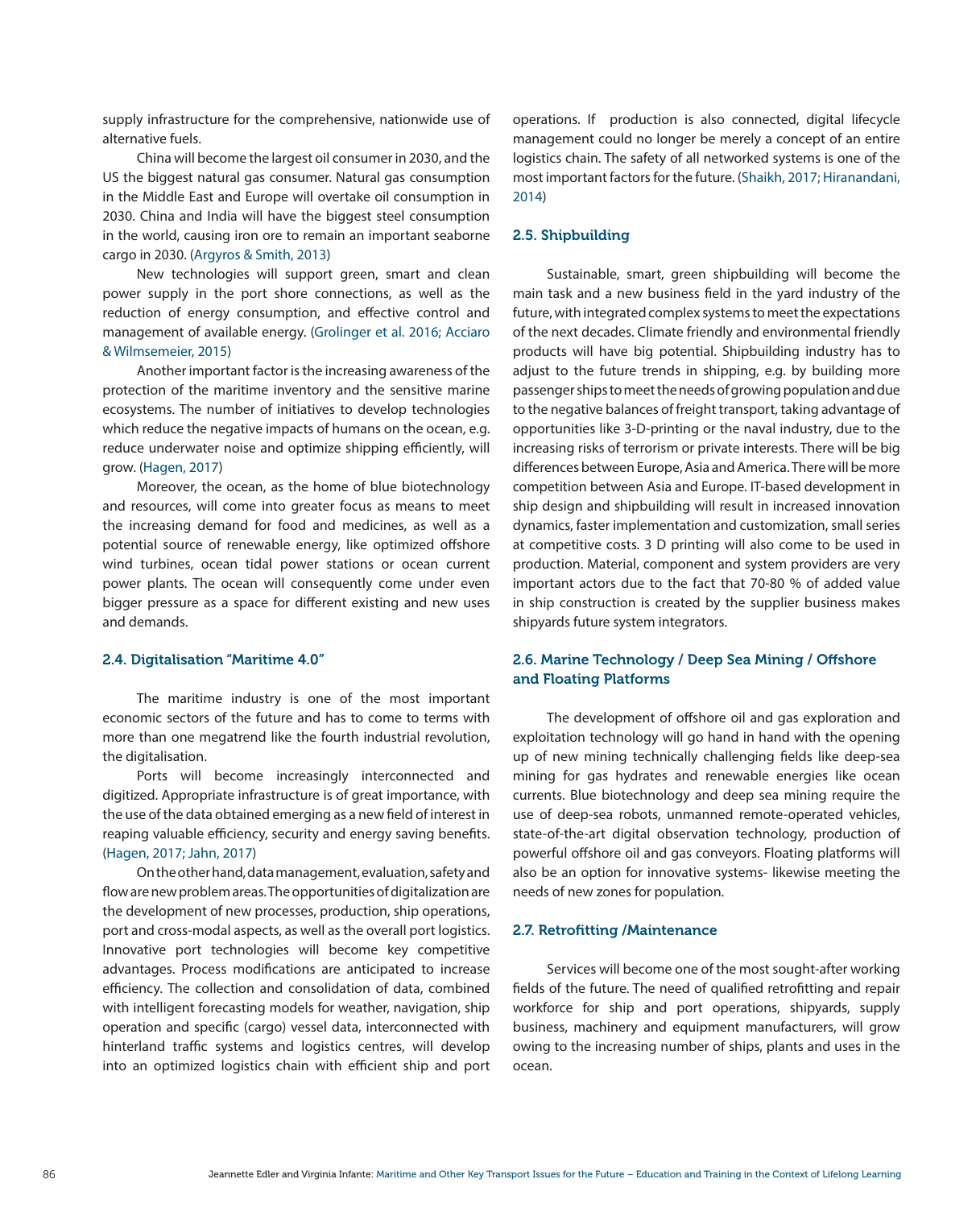supply infrastructure for the comprehensive, nationwide use of alternative fuels.

China will become the largest oil consumer in 2030, and the US the biggest natural gas consumer. Natural gas consumption in the Middle East and Europe will overtake oil consumption in 2030. China and India will have the biggest steel consumption in the world, causing iron ore to remain an important seaborne cargo in 2030. (Argyros & Smith, 2013)

New technologies will support green, smart and clean power supply in the port shore connections, as well as the reduction of energy consumption, and effective control and management of available energy. (Grolinger et al. 2016; Acciaro & Wilmsemeier, 2015)

Another important factor is the increasing awareness of the protection of the maritime inventory and the sensitive marine ecosystems. The number of initiatives to develop technologies which reduce the negative impacts of humans on the ocean, e.g. reduce underwater noise and optimize shipping efficiently, will grow. (Hagen, 2017)

Moreover, the ocean, as the home of blue biotechnology and resources, will come into greater focus as means to meet the increasing demand for food and medicines, as well as a potential source of renewable energy, like optimized offshore wind turbines, ocean tidal power stations or ocean current power plants. The ocean will consequently come under even bigger pressure as a space for different existing and new uses and demands.

#### 2.4. Digitalisation "Maritime 4.0"

The maritime industry is one of the most important economic sectors of the future and has to come to terms with more than one megatrend like the fourth industrial revolution, the digitalisation.

Ports will become increasingly interconnected and digitized. Appropriate infrastructure is of great importance, with the use of the data obtained emerging as a new field of interest in reaping valuable efficiency, security and energy saving benefits. (Hagen, 2017; Jahn, 2017)

On the other hand, data management, evaluation, safety and flow are new problem areas. The opportunities of digitalization are the development of new processes, production, ship operations, port and cross-modal aspects, as well as the overall port logistics. Innovative port technologies will become key competitive advantages. Process modifications are anticipated to increase efficiency. The collection and consolidation of data, combined with intelligent forecasting models for weather, navigation, ship operation and specific (cargo) vessel data, interconnected with hinterland traffic systems and logistics centres, will develop into an optimized logistics chain with efficient ship and port operations. If production is also connected, digital lifecycle management could no longer be merely a concept of an entire logistics chain. The safety of all networked systems is one of the most important factors for the future. (Shaikh, 2017; Hiranandani, 2014)

#### 2.5. Shipbuilding

Sustainable, smart, green shipbuilding will become the main task and a new business field in the yard industry of the future, with integrated complex systems to meet the expectations of the next decades. Climate friendly and environmental friendly products will have big potential. Shipbuilding industry has to adjust to the future trends in shipping, e.g. by building more passenger ships to meet the needs of growing population and due to the negative balances of freight transport, taking advantage of opportunities like 3-D-printing or the naval industry, due to the increasing risks of terrorism or private interests. There will be big differences between Europe, Asia and America. There will be more competition between Asia and Europe. IT-based development in ship design and shipbuilding will result in increased innovation dynamics, faster implementation and customization, small series at competitive costs. 3 D printing will also come to be used in production. Material, component and system providers are very important actors due to the fact that 70-80 % of added value in ship construction is created by the supplier business makes shipyards future system integrators.

## 2.6. Marine Technology / Deep Sea Mining / Offshore and Floating Platforms

The development of offshore oil and gas exploration and exploitation technology will go hand in hand with the opening up of new mining technically challenging fields like deep-sea mining for gas hydrates and renewable energies like ocean currents. Blue biotechnology and deep sea mining require the use of deep-sea robots, unmanned remote-operated vehicles, state-of-the-art digital observation technology, production of powerful offshore oil and gas conveyors. Floating platforms will also be an option for innovative systems- likewise meeting the needs of new zones for population.

#### 2.7. Retrofitting /Maintenance

Services will become one of the most sought-after working fields of the future. The need of qualified retrofitting and repair workforce for ship and port operations, shipyards, supply business, machinery and equipment manufacturers, will grow owing to the increasing number of ships, plants and uses in the ocean.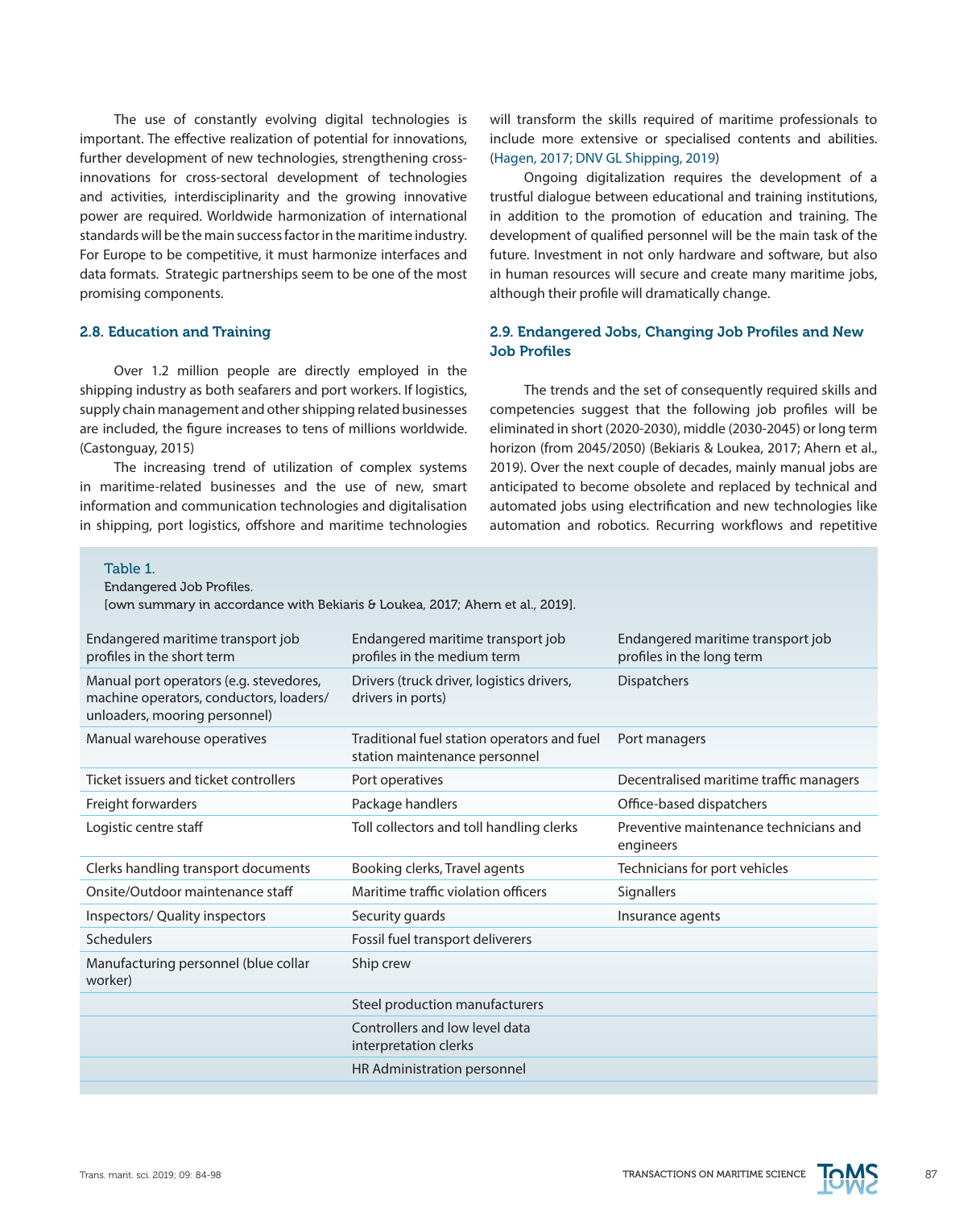The use of constantly evolving digital technologies is important. The effective realization of potential for innovations, further development of new technologies, strengthening crossinnovations for cross-sectoral development of technologies and activities, interdisciplinarity and the growing innovative power are required. Worldwide harmonization of international standards will be the main success factor in the maritime industry. For Europe to be competitive, it must harmonize interfaces and data formats. Strategic partnerships seem to be one of the most promising components.

#### 2.8. Education and Training

Over 1.2 million people are directly employed in the shipping industry as both seafarers and port workers. If logistics, supply chain management and other shipping related businesses are included, the figure increases to tens of millions worldwide. (Castonguay, 2015)

The increasing trend of utilization of complex systems in maritime-related businesses and the use of new, smart information and communication technologies and digitalisation in shipping, port logistics, offshore and maritime technologies will transform the skills required of maritime professionals to include more extensive or specialised contents and abilities. (Hagen, 2017; DNV GL Shipping, 2019)

Ongoing digitalization requires the development of a trustful dialogue between educational and training institutions, in addition to the promotion of education and training. The development of qualified personnel will be the main task of the future. Investment in not only hardware and software, but also in human resources will secure and create many maritime jobs, although their profile will dramatically change.

## 2.9. Endangered Jobs, Changing Job Profiles and New Job Profiles

The trends and the set of consequently required skills and competencies suggest that the following job profiles will be eliminated in short (2020-2030), middle (2030-2045) or long term horizon (from 2045/2050) (Bekiaris & Loukea, 2017; Ahern et al., 2019). Over the next couple of decades, mainly manual jobs are anticipated to become obsolete and replaced by technical and automated jobs using electrification and new technologies like automation and robotics. Recurring workflows and repetitive

## Table 1.

Endangered Job Profiles.

[own summary in accordance with Bekiaris & Loukea, 2017; Ahern et al., 2019].

| Endangered maritime transport job<br>profiles in the short term                                                     | Endangered maritime transport job<br>profiles in the medium term             | Endangered maritime transport job<br>profiles in the long term |
|---------------------------------------------------------------------------------------------------------------------|------------------------------------------------------------------------------|----------------------------------------------------------------|
| Manual port operators (e.g. stevedores,<br>machine operators, conductors, loaders/<br>unloaders, mooring personnel) | Drivers (truck driver, logistics drivers,<br>drivers in ports)               | Dispatchers                                                    |
| Manual warehouse operatives                                                                                         | Traditional fuel station operators and fuel<br>station maintenance personnel | Port managers                                                  |
| Ticket issuers and ticket controllers                                                                               | Port operatives                                                              | Decentralised maritime traffic managers                        |
| Freight forwarders                                                                                                  | Package handlers                                                             | Office-based dispatchers                                       |
| Logistic centre staff                                                                                               | Toll collectors and toll handling clerks                                     | Preventive maintenance technicians and<br>engineers            |
| Clerks handling transport documents                                                                                 | Booking clerks, Travel agents                                                | Technicians for port vehicles                                  |
| Onsite/Outdoor maintenance staff                                                                                    | Maritime traffic violation officers                                          | <b>Signallers</b>                                              |
| Inspectors/ Quality inspectors                                                                                      | Security guards                                                              | Insurance agents                                               |
| Schedulers                                                                                                          | Fossil fuel transport deliverers                                             |                                                                |
| Manufacturing personnel (blue collar<br>worker)                                                                     | Ship crew                                                                    |                                                                |
|                                                                                                                     | Steel production manufacturers                                               |                                                                |
|                                                                                                                     | Controllers and low level data<br>interpretation clerks                      |                                                                |
|                                                                                                                     | HR Administration personnel                                                  |                                                                |

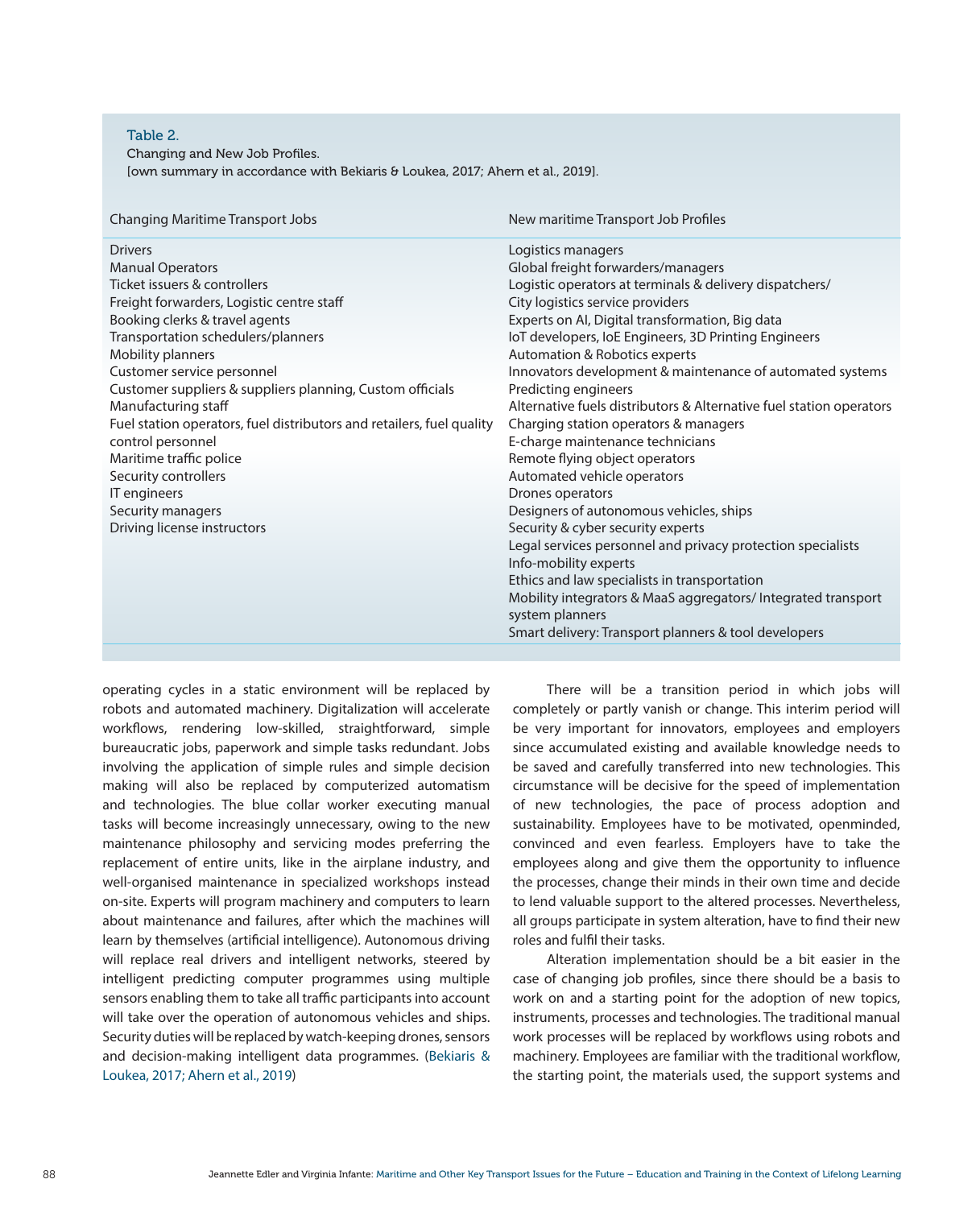#### Table 2.

Changing and New Job Profiles.

[own summary in accordance with Bekiaris & Loukea, 2017; Ahern et al., 2019].

| <b>Changing Maritime Transport Jobs</b>                               | New maritime Transport Job Profiles                                 |
|-----------------------------------------------------------------------|---------------------------------------------------------------------|
| <b>Drivers</b>                                                        | Logistics managers                                                  |
| <b>Manual Operators</b>                                               | Global freight forwarders/managers                                  |
| Ticket issuers & controllers                                          | Logistic operators at terminals & delivery dispatchers/             |
| Freight forwarders, Logistic centre staff                             | City logistics service providers                                    |
| Booking clerks & travel agents                                        | Experts on AI, Digital transformation, Big data                     |
| Transportation schedulers/planners                                    | IoT developers, IoE Engineers, 3D Printing Engineers                |
| Mobility planners                                                     | Automation & Robotics experts                                       |
| Customer service personnel                                            | Innovators development & maintenance of automated systems           |
| Customer suppliers & suppliers planning, Custom officials             | Predicting engineers                                                |
| Manufacturing staff                                                   | Alternative fuels distributors & Alternative fuel station operators |
| Fuel station operators, fuel distributors and retailers, fuel quality | Charging station operators & managers                               |
| control personnel                                                     | E-charge maintenance technicians                                    |
| Maritime traffic police                                               | Remote flying object operators                                      |
| Security controllers                                                  | Automated vehicle operators                                         |
| IT engineers                                                          | Drones operators                                                    |
| Security managers                                                     | Designers of autonomous vehicles, ships                             |
| Driving license instructors                                           | Security & cyber security experts                                   |
|                                                                       | Legal services personnel and privacy protection specialists         |
|                                                                       | Info-mobility experts                                               |
|                                                                       | Ethics and law specialists in transportation                        |
|                                                                       | Mobility integrators & MaaS aggregators/Integrated transport        |
|                                                                       | system planners                                                     |
|                                                                       | Smart delivery: Transport planners & tool developers                |
|                                                                       |                                                                     |

operating cycles in a static environment will be replaced by robots and automated machinery. Digitalization will accelerate workflows, rendering low-skilled, straightforward, simple bureaucratic jobs, paperwork and simple tasks redundant. Jobs involving the application of simple rules and simple decision making will also be replaced by computerized automatism and technologies. The blue collar worker executing manual tasks will become increasingly unnecessary, owing to the new maintenance philosophy and servicing modes preferring the replacement of entire units, like in the airplane industry, and well-organised maintenance in specialized workshops instead on-site. Experts will program machinery and computers to learn about maintenance and failures, after which the machines will learn by themselves (artificial intelligence). Autonomous driving will replace real drivers and intelligent networks, steered by intelligent predicting computer programmes using multiple sensors enabling them to take all traffic participants into account will take over the operation of autonomous vehicles and ships. Security duties will be replaced by watch-keeping drones, sensors and decision-making intelligent data programmes. (Bekiaris & Loukea, 2017; Ahern et al., 2019)

There will be a transition period in which jobs will completely or partly vanish or change. This interim period will be very important for innovators, employees and employers since accumulated existing and available knowledge needs to be saved and carefully transferred into new technologies. This circumstance will be decisive for the speed of implementation of new technologies, the pace of process adoption and sustainability. Employees have to be motivated, openminded, convinced and even fearless. Employers have to take the employees along and give them the opportunity to influence the processes, change their minds in their own time and decide to lend valuable support to the altered processes. Nevertheless, all groups participate in system alteration, have to find their new roles and fulfil their tasks.

Alteration implementation should be a bit easier in the case of changing job profiles, since there should be a basis to work on and a starting point for the adoption of new topics, instruments, processes and technologies. The traditional manual work processes will be replaced by workflows using robots and machinery. Employees are familiar with the traditional workflow, the starting point, the materials used, the support systems and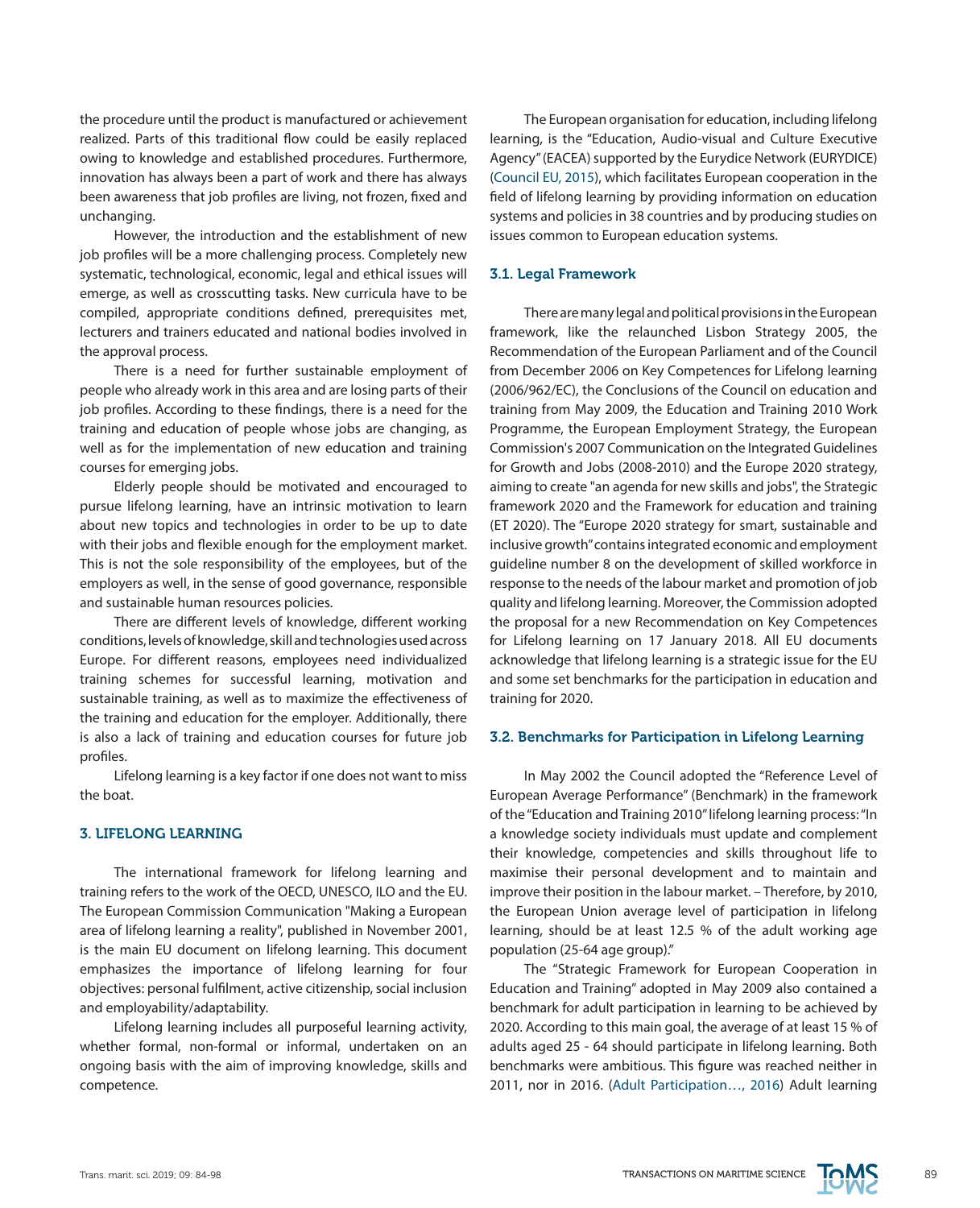the procedure until the product is manufactured or achievement realized. Parts of this traditional flow could be easily replaced owing to knowledge and established procedures. Furthermore, innovation has always been a part of work and there has always been awareness that job profiles are living, not frozen, fixed and unchanging.

However, the introduction and the establishment of new job profiles will be a more challenging process. Completely new systematic, technological, economic, legal and ethical issues will emerge, as well as crosscutting tasks. New curricula have to be compiled, appropriate conditions defined, prerequisites met, lecturers and trainers educated and national bodies involved in the approval process.

There is a need for further sustainable employment of people who already work in this area and are losing parts of their job profiles. According to these findings, there is a need for the training and education of people whose jobs are changing, as well as for the implementation of new education and training courses for emerging jobs.

Elderly people should be motivated and encouraged to pursue lifelong learning, have an intrinsic motivation to learn about new topics and technologies in order to be up to date with their jobs and flexible enough for the employment market. This is not the sole responsibility of the employees, but of the employers as well, in the sense of good governance, responsible and sustainable human resources policies.

There are different levels of knowledge, different working conditions, levels of knowledge, skill and technologies used across Europe. For different reasons, employees need individualized training schemes for successful learning, motivation and sustainable training, as well as to maximize the effectiveness of the training and education for the employer. Additionally, there is also a lack of training and education courses for future job profiles.

Lifelong learning is a key factor if one does not want to miss the boat.

### 3. LIFELONG LEARNING

The international framework for lifelong learning and training refers to the work of the OECD, UNESCO, ILO and the EU. The European Commission Communication "Making a European area of lifelong learning a reality", published in November 2001, is the main EU document on lifelong learning. This document emphasizes the importance of lifelong learning for four objectives: personal fulfilment, active citizenship, social inclusion and employability/adaptability.

Lifelong learning includes all purposeful learning activity, whether formal, non-formal or informal, undertaken on an ongoing basis with the aim of improving knowledge, skills and competence.

The European organisation for education, including lifelong learning, is the "Education, Audio-visual and Culture Executive Agency" (EACEA) supported by the Eurydice Network (EURYDICE) (Council EU, 2015), which facilitates European cooperation in the field of lifelong learning by providing information on education systems and policies in 38 countries and by producing studies on issues common to European education systems.

## 3.1. Legal Framework

There are many legal and political provisions in the European framework, like the relaunched Lisbon Strategy 2005, the Recommendation of the European Parliament and of the Council from December 2006 on Key Competences for Lifelong learning (2006/962/EC), the Conclusions of the Council on education and training from May 2009, the Education and Training 2010 Work Programme, the European Employment Strategy, the European Commission's 2007 Communication on the Integrated Guidelines for Growth and Jobs (2008-2010) and the Europe 2020 strategy, aiming to create "an agenda for new skills and jobs", the Strategic framework 2020 and the Framework for education and training (ET 2020). The "Europe 2020 strategy for smart, sustainable and inclusive growth" contains integrated economic and employment guideline number 8 on the development of skilled workforce in response to the needs of the labour market and promotion of job quality and lifelong learning. Moreover, the Commission adopted the proposal for a new Recommendation on Key Competences for Lifelong learning on 17 January 2018. All EU documents acknowledge that lifelong learning is a strategic issue for the EU and some set benchmarks for the participation in education and training for 2020.

#### 3.2. Benchmarks for Participation in Lifelong Learning

In May 2002 the Council adopted the "Reference Level of European Average Performance" (Benchmark) in the framework of the "Education and Training 2010" lifelong learning process: "In a knowledge society individuals must update and complement their knowledge, competencies and skills throughout life to maximise their personal development and to maintain and improve their position in the labour market. – Therefore, by 2010, the European Union average level of participation in lifelong learning, should be at least 12.5 % of the adult working age population (25-64 age group)."

The "Strategic Framework for European Cooperation in Education and Training" adopted in May 2009 also contained a benchmark for adult participation in learning to be achieved by 2020. According to this main goal, the average of at least 15 % of adults aged 25 - 64 should participate in lifelong learning. Both benchmarks were ambitious. This figure was reached neither in 2011, nor in 2016. (Adult Participation…, 2016) Adult learning

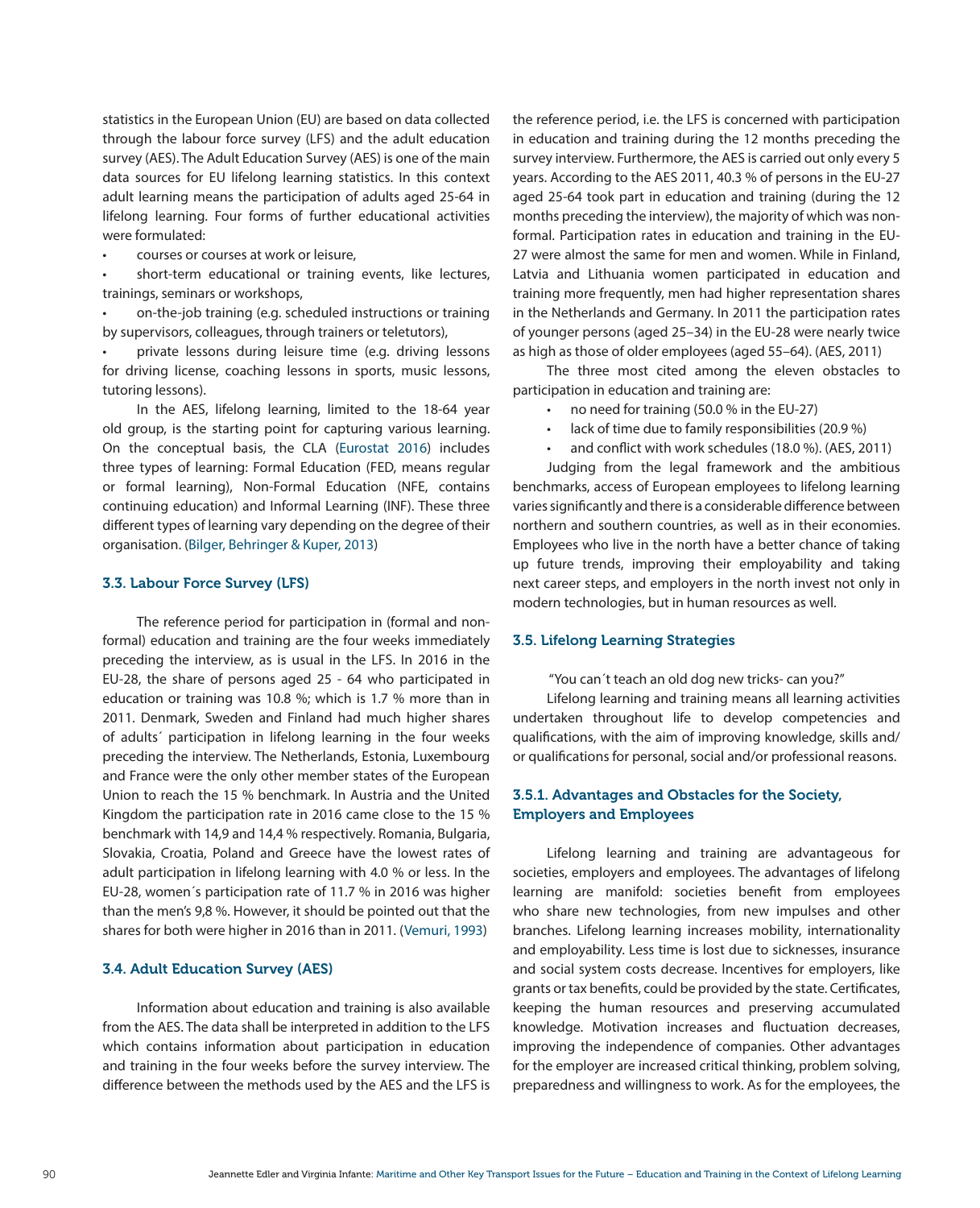statistics in the European Union (EU) are based on data collected through the labour force survey (LFS) and the adult education survey (AES). The Adult Education Survey (AES) is one of the main data sources for EU lifelong learning statistics. In this context adult learning means the participation of adults aged 25-64 in lifelong learning. Four forms of further educational activities were formulated:

courses or courses at work or leisure,

short-term educational or training events, like lectures, trainings, seminars or workshops,

on-the-job training (e.g. scheduled instructions or training by supervisors, colleagues, through trainers or teletutors),

private lessons during leisure time (e.g. driving lessons for driving license, coaching lessons in sports, music lessons, tutoring lessons).

In the AES, lifelong learning, limited to the 18-64 year old group, is the starting point for capturing various learning. On the conceptual basis, the CLA (Eurostat 2016) includes three types of learning: Formal Education (FED, means regular or formal learning), Non-Formal Education (NFE, contains continuing education) and Informal Learning (INF). These three different types of learning vary depending on the degree of their organisation. (Bilger, Behringer & Kuper, 2013)

#### 3.3. Labour Force Survey (LFS)

The reference period for participation in (formal and nonformal) education and training are the four weeks immediately preceding the interview, as is usual in the LFS. In 2016 in the EU-28, the share of persons aged 25 - 64 who participated in education or training was 10.8 %; which is 1.7 % more than in 2011. Denmark, Sweden and Finland had much higher shares of adults´ participation in lifelong learning in the four weeks preceding the interview. The Netherlands, Estonia, Luxembourg and France were the only other member states of the European Union to reach the 15 % benchmark. In Austria and the United Kingdom the participation rate in 2016 came close to the 15 % benchmark with 14,9 and 14,4 % respectively. Romania, Bulgaria, Slovakia, Croatia, Poland and Greece have the lowest rates of adult participation in lifelong learning with 4.0 % or less. In the EU-28, women´s participation rate of 11.7 % in 2016 was higher than the men's 9,8 %. However, it should be pointed out that the shares for both were higher in 2016 than in 2011. (Vemuri, 1993)

#### 3.4. Adult Education Survey (AES)

Information about education and training is also available from the AES. The data shall be interpreted in addition to the LFS which contains information about participation in education and training in the four weeks before the survey interview. The difference between the methods used by the AES and the LFS is the reference period, i.e. the LFS is concerned with participation in education and training during the 12 months preceding the survey interview. Furthermore, the AES is carried out only every 5 years. According to the AES 2011, 40.3 % of persons in the EU-27 aged 25-64 took part in education and training (during the 12 months preceding the interview), the majority of which was nonformal. Participation rates in education and training in the EU-27 were almost the same for men and women. While in Finland, Latvia and Lithuania women participated in education and training more frequently, men had higher representation shares in the Netherlands and Germany. In 2011 the participation rates of younger persons (aged 25–34) in the EU-28 were nearly twice as high as those of older employees (aged 55–64). (AES, 2011)

The three most cited among the eleven obstacles to participation in education and training are:

- • no need for training (50.0 % in the EU-27)
- lack of time due to family responsibilities (20.9 %)
- and conflict with work schedules (18.0 %). (AES, 2011)

Judging from the legal framework and the ambitious benchmarks, access of European employees to lifelong learning varies significantly and there is a considerable difference between northern and southern countries, as well as in their economies. Employees who live in the north have a better chance of taking up future trends, improving their employability and taking next career steps, and employers in the north invest not only in modern technologies, but in human resources as well.

### 3.5. Lifelong Learning Strategies

"You can´t teach an old dog new tricks- can you?"

Lifelong learning and training means all learning activities undertaken throughout life to develop competencies and qualifications, with the aim of improving knowledge, skills and/ or qualifications for personal, social and/or professional reasons.

## 3.5.1. Advantages and Obstacles for the Society, Employers and Employees

Lifelong learning and training are advantageous for societies, employers and employees. The advantages of lifelong learning are manifold: societies benefit from employees who share new technologies, from new impulses and other branches. Lifelong learning increases mobility, internationality and employability. Less time is lost due to sicknesses, insurance and social system costs decrease. Incentives for employers, like grants or tax benefits, could be provided by the state. Certificates, keeping the human resources and preserving accumulated knowledge. Motivation increases and fluctuation decreases, improving the independence of companies. Other advantages for the employer are increased critical thinking, problem solving, preparedness and willingness to work. As for the employees, the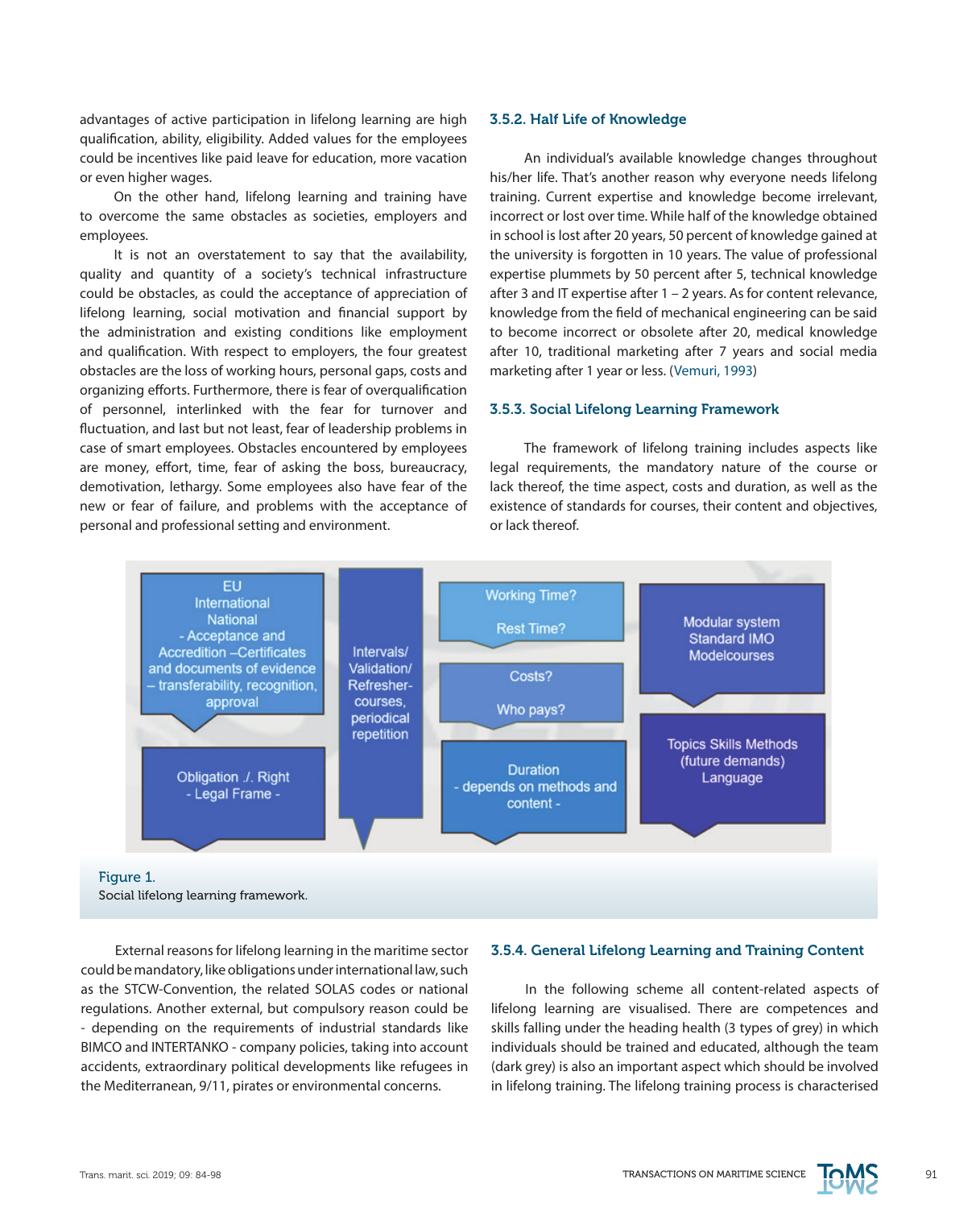advantages of active participation in lifelong learning are high qualification, ability, eligibility. Added values for the employees could be incentives like paid leave for education, more vacation or even higher wages.

On the other hand, lifelong learning and training have to overcome the same obstacles as societies, employers and employees.

It is not an overstatement to say that the availability, quality and quantity of a society's technical infrastructure could be obstacles, as could the acceptance of appreciation of lifelong learning, social motivation and financial support by the administration and existing conditions like employment and qualification. With respect to employers, the four greatest obstacles are the loss of working hours, personal gaps, costs and organizing efforts. Furthermore, there is fear of overqualification of personnel, interlinked with the fear for turnover and fluctuation, and last but not least, fear of leadership problems in case of smart employees. Obstacles encountered by employees are money, effort, time, fear of asking the boss, bureaucracy, demotivation, lethargy. Some employees also have fear of the new or fear of failure, and problems with the acceptance of personal and professional setting and environment.

#### 3.5.2. Half Life of Knowledge

An individual's available knowledge changes throughout his/her life. That's another reason why everyone needs lifelong training. Current expertise and knowledge become irrelevant, incorrect or lost over time. While half of the knowledge obtained in school is lost after 20 years, 50 percent of knowledge gained at the university is forgotten in 10 years. The value of professional expertise plummets by 50 percent after 5, technical knowledge after 3 and IT expertise after 1 – 2 years. As for content relevance, knowledge from the field of mechanical engineering can be said to become incorrect or obsolete after 20, medical knowledge after 10, traditional marketing after 7 years and social media marketing after 1 year or less. (Vemuri, 1993)

## 3.5.3. Social Lifelong Learning Framework

The framework of lifelong training includes aspects like legal requirements, the mandatory nature of the course or lack thereof, the time aspect, costs and duration, as well as the existence of standards for courses, their content and objectives, or lack thereof.



#### Figure 1. Social lifelong learning framework.

External reasons for lifelong learning in the maritime sector could be mandatory, like obligations under international law, such as the STCW-Convention, the related SOLAS codes or national regulations. Another external, but compulsory reason could be - depending on the requirements of industrial standards like BIMCO and INTERTANKO - company policies, taking into account accidents, extraordinary political developments like refugees in the Mediterranean, 9/11, pirates or environmental concerns.

#### 3.5.4. General Lifelong Learning and Training Content

In the following scheme all content-related aspects of lifelong learning are visualised. There are competences and skills falling under the heading health (3 types of grey) in which individuals should be trained and educated, although the team (dark grey) is also an important aspect which should be involved in lifelong training. The lifelong training process is characterised

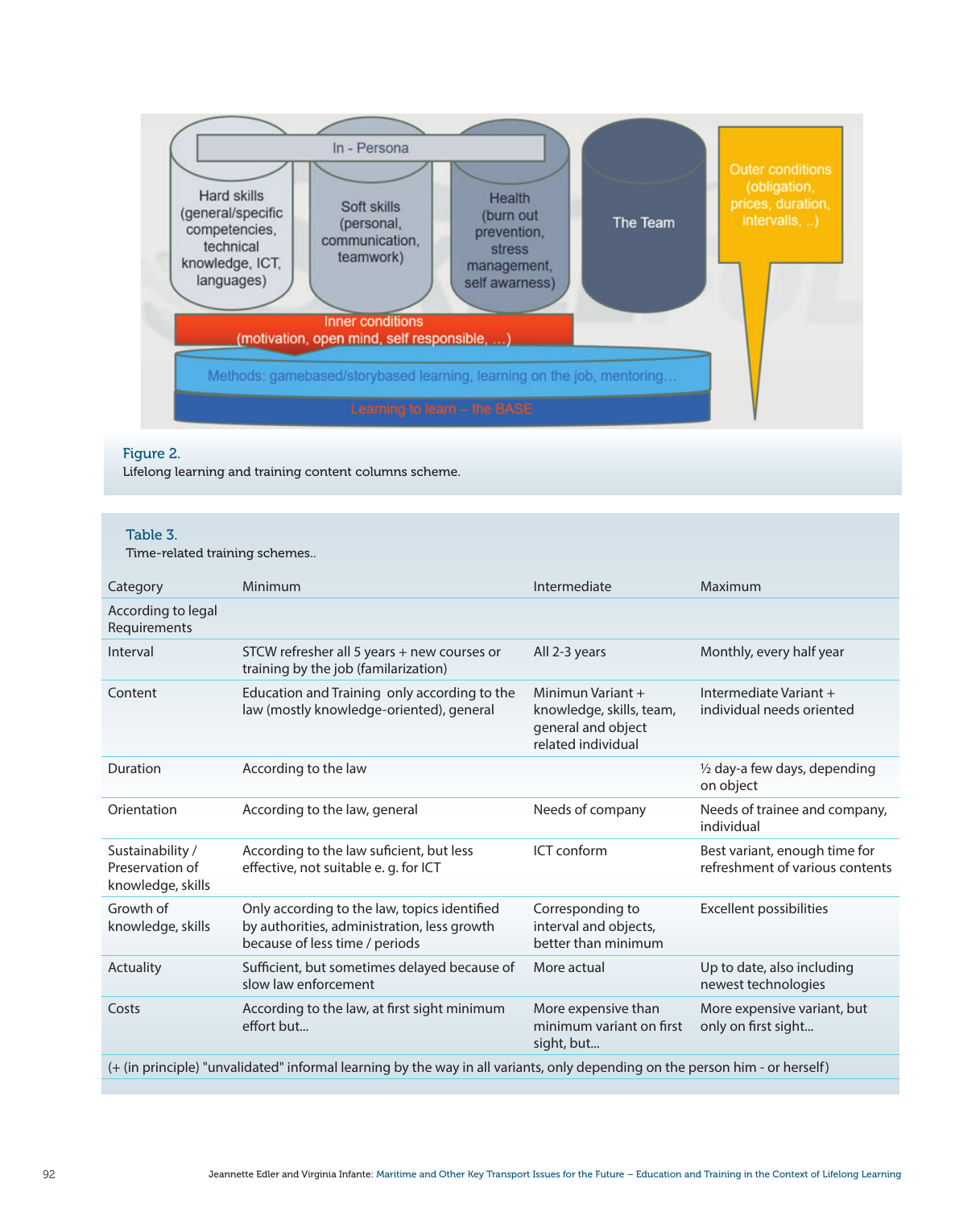

## Figure 2.

Lifelong learning and training content columns scheme.

## Table 3.

Time-related training schemes..

| Category                                                                                                                     | Minimum                                                                                                                       | Intermediate                                                                                | Maximum                                                          |  |  |
|------------------------------------------------------------------------------------------------------------------------------|-------------------------------------------------------------------------------------------------------------------------------|---------------------------------------------------------------------------------------------|------------------------------------------------------------------|--|--|
| According to legal<br>Requirements                                                                                           |                                                                                                                               |                                                                                             |                                                                  |  |  |
| Interval                                                                                                                     | STCW refresher all 5 years + new courses or<br>training by the job (familarization)                                           | All 2-3 years                                                                               | Monthly, every half year                                         |  |  |
| Content                                                                                                                      | Education and Training only according to the<br>law (mostly knowledge-oriented), general                                      | Minimun Variant $+$<br>knowledge, skills, team,<br>general and object<br>related individual | Intermediate Variant +<br>individual needs oriented              |  |  |
| Duration                                                                                                                     | According to the law                                                                                                          |                                                                                             | $\frac{1}{2}$ day-a few days, depending<br>on object             |  |  |
| Orientation                                                                                                                  | According to the law, general                                                                                                 | Needs of company                                                                            | Needs of trainee and company,<br>individual                      |  |  |
| Sustainability /<br>Preservation of<br>knowledge, skills                                                                     | According to the law suficient, but less<br>effective, not suitable e. q. for ICT                                             | ICT conform                                                                                 | Best variant, enough time for<br>refreshment of various contents |  |  |
| Growth of<br>knowledge, skills                                                                                               | Only according to the law, topics identified<br>by authorities, administration, less growth<br>because of less time / periods | Corresponding to<br>interval and objects,<br>better than minimum                            | Excellent possibilities                                          |  |  |
| Actuality                                                                                                                    | Sufficient, but sometimes delayed because of<br>slow law enforcement                                                          | More actual                                                                                 | Up to date, also including<br>newest technologies                |  |  |
| Costs                                                                                                                        | According to the law, at first sight minimum<br>effort but                                                                    | More expensive than<br>minimum variant on first<br>sight, but                               | More expensive variant, but<br>only on first sight               |  |  |
| (+ (in principle) "unvalidated" informal learning by the way in all variants, only depending on the person him - or herself) |                                                                                                                               |                                                                                             |                                                                  |  |  |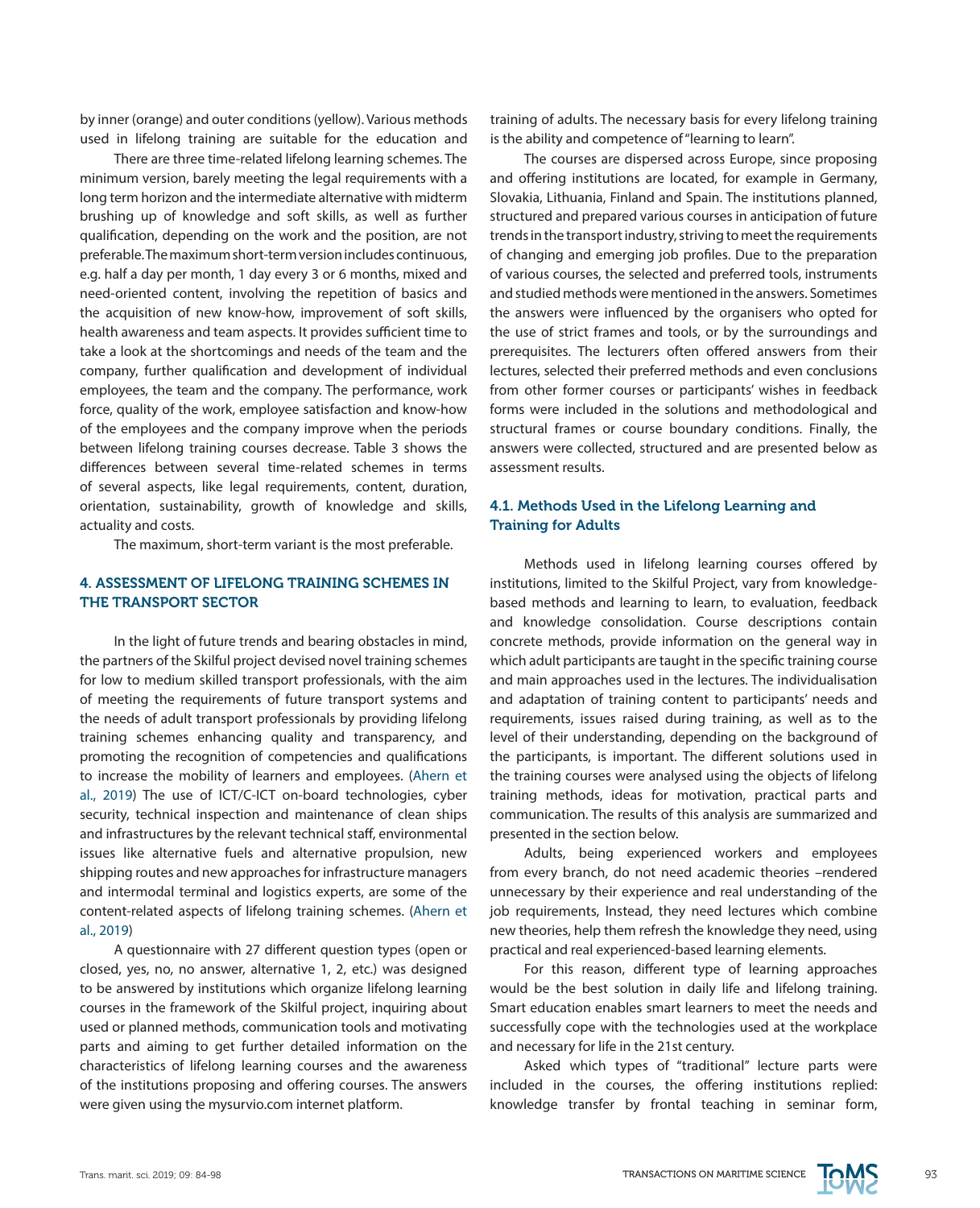by inner (orange) and outer conditions (yellow). Various methods used in lifelong training are suitable for the education and

There are three time-related lifelong learning schemes. The minimum version, barely meeting the legal requirements with a long term horizon and the intermediate alternative with midterm brushing up of knowledge and soft skills, as well as further qualification, depending on the work and the position, are not preferable. The maximum short-term version includes continuous, e.g. half a day per month, 1 day every 3 or 6 months, mixed and need-oriented content, involving the repetition of basics and the acquisition of new know-how, improvement of soft skills, health awareness and team aspects. It provides sufficient time to take a look at the shortcomings and needs of the team and the company, further qualification and development of individual employees, the team and the company. The performance, work force, quality of the work, employee satisfaction and know-how of the employees and the company improve when the periods between lifelong training courses decrease. Table 3 shows the differences between several time-related schemes in terms of several aspects, like legal requirements, content, duration, orientation, sustainability, growth of knowledge and skills, actuality and costs.

The maximum, short-term variant is the most preferable.

## 4. ASSESSMENT OF LIFELONG TRAINING SCHEMES IN THE TRANSPORT SECTOR

In the light of future trends and bearing obstacles in mind, the partners of the Skilful project devised novel training schemes for low to medium skilled transport professionals, with the aim of meeting the requirements of future transport systems and the needs of adult transport professionals by providing lifelong training schemes enhancing quality and transparency, and promoting the recognition of competencies and qualifications to increase the mobility of learners and employees. (Ahern et al., 2019) The use of ICT/C-ICT on-board technologies, cyber security, technical inspection and maintenance of clean ships and infrastructures by the relevant technical staff, environmental issues like alternative fuels and alternative propulsion, new shipping routes and new approaches for infrastructure managers and intermodal terminal and logistics experts, are some of the content-related aspects of lifelong training schemes. (Ahern et al., 2019)

A questionnaire with 27 different question types (open or closed, yes, no, no answer, alternative 1, 2, etc.) was designed to be answered by institutions which organize lifelong learning courses in the framework of the Skilful project, inquiring about used or planned methods, communication tools and motivating parts and aiming to get further detailed information on the characteristics of lifelong learning courses and the awareness of the institutions proposing and offering courses. The answers were given using the mysurvio.com internet platform.

training of adults. The necessary basis for every lifelong training is the ability and competence of "learning to learn".

The courses are dispersed across Europe, since proposing and offering institutions are located, for example in Germany, Slovakia, Lithuania, Finland and Spain. The institutions planned, structured and prepared various courses in anticipation of future trends in the transport industry, striving to meet the requirements of changing and emerging job profiles. Due to the preparation of various courses, the selected and preferred tools, instruments and studied methods were mentioned in the answers. Sometimes the answers were influenced by the organisers who opted for the use of strict frames and tools, or by the surroundings and prerequisites. The lecturers often offered answers from their lectures, selected their preferred methods and even conclusions from other former courses or participants' wishes in feedback forms were included in the solutions and methodological and structural frames or course boundary conditions. Finally, the answers were collected, structured and are presented below as assessment results.

## 4.1. Methods Used in the Lifelong Learning and Training for Adults

Methods used in lifelong learning courses offered by institutions, limited to the Skilful Project, vary from knowledgebased methods and learning to learn, to evaluation, feedback and knowledge consolidation. Course descriptions contain concrete methods, provide information on the general way in which adult participants are taught in the specific training course and main approaches used in the lectures. The individualisation and adaptation of training content to participants' needs and requirements, issues raised during training, as well as to the level of their understanding, depending on the background of the participants, is important. The different solutions used in the training courses were analysed using the objects of lifelong training methods, ideas for motivation, practical parts and communication. The results of this analysis are summarized and presented in the section below.

Adults, being experienced workers and employees from every branch, do not need academic theories –rendered unnecessary by their experience and real understanding of the job requirements, Instead, they need lectures which combine new theories, help them refresh the knowledge they need, using practical and real experienced-based learning elements.

For this reason, different type of learning approaches would be the best solution in daily life and lifelong training. Smart education enables smart learners to meet the needs and successfully cope with the technologies used at the workplace and necessary for life in the 21st century.

Asked which types of "traditional" lecture parts were included in the courses, the offering institutions replied: knowledge transfer by frontal teaching in seminar form,

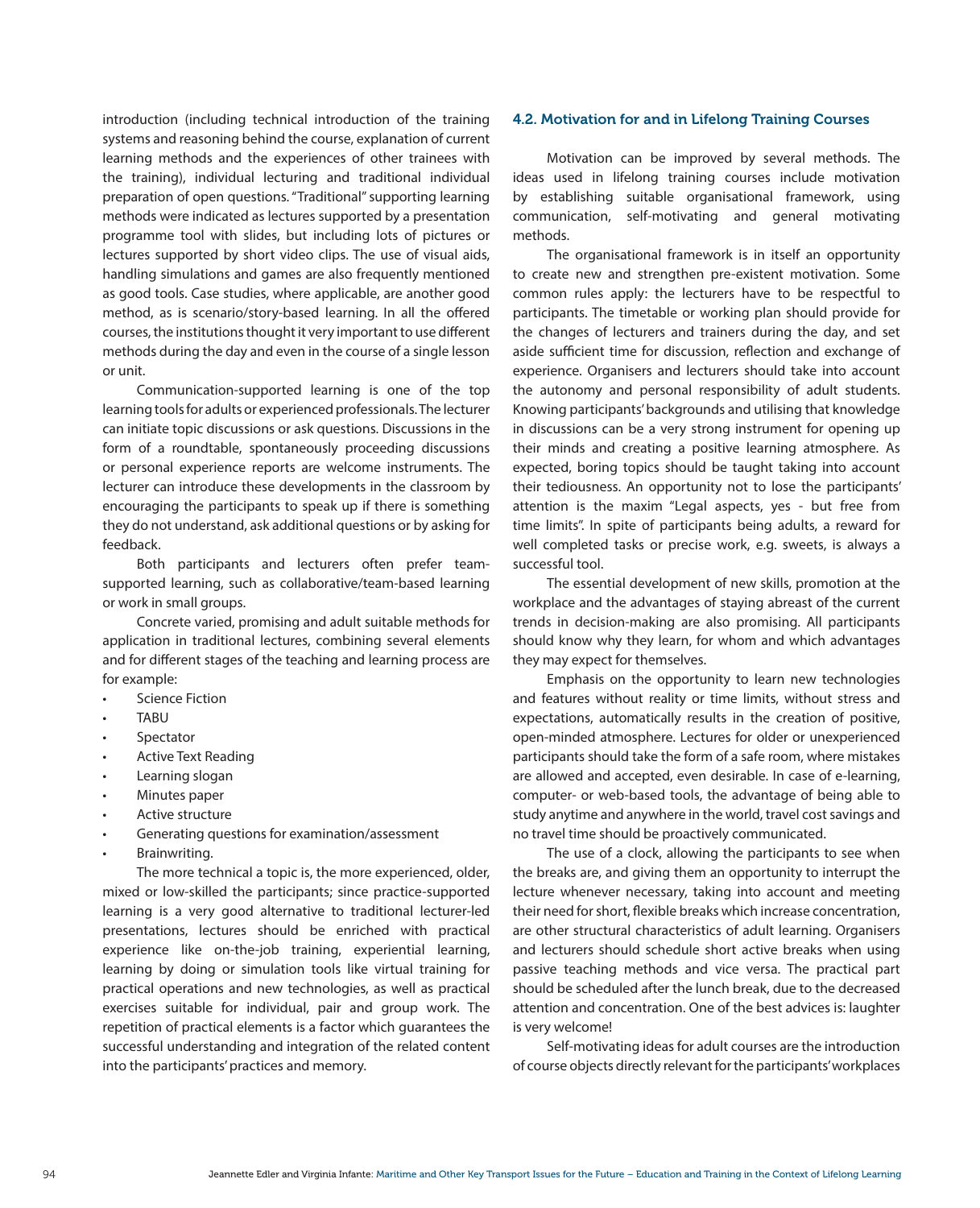introduction (including technical introduction of the training systems and reasoning behind the course, explanation of current learning methods and the experiences of other trainees with the training), individual lecturing and traditional individual preparation of open questions. "Traditional" supporting learning methods were indicated as lectures supported by a presentation programme tool with slides, but including lots of pictures or lectures supported by short video clips. The use of visual aids, handling simulations and games are also frequently mentioned as good tools. Case studies, where applicable, are another good method, as is scenario/story-based learning. In all the offered courses, the institutions thought it very important to use different methods during the day and even in the course of a single lesson or unit.

Communication-supported learning is one of the top learning tools for adults or experienced professionals. The lecturer can initiate topic discussions or ask questions. Discussions in the form of a roundtable, spontaneously proceeding discussions or personal experience reports are welcome instruments. The lecturer can introduce these developments in the classroom by encouraging the participants to speak up if there is something they do not understand, ask additional questions or by asking for feedback.

Both participants and lecturers often prefer teamsupported learning, such as collaborative/team-based learning or work in small groups.

Concrete varied, promising and adult suitable methods for application in traditional lectures, combining several elements and for different stages of the teaching and learning process are for example:

- **Science Fiction**
- **TABU**
- **Spectator**
- **Active Text Reading**
- Learning slogan
- Minutes paper
- Active structure
- Generating questions for examination/assessment
- Brainwriting.

The more technical a topic is, the more experienced, older, mixed or low-skilled the participants; since practice-supported learning is a very good alternative to traditional lecturer-led presentations, lectures should be enriched with practical experience like on-the-job training, experiential learning, learning by doing or simulation tools like virtual training for practical operations and new technologies, as well as practical exercises suitable for individual, pair and group work. The repetition of practical elements is a factor which guarantees the successful understanding and integration of the related content into the participants' practices and memory.

#### 4.2. Motivation for and in Lifelong Training Courses

Motivation can be improved by several methods. The ideas used in lifelong training courses include motivation by establishing suitable organisational framework, using communication, self-motivating and general motivating methods.

The organisational framework is in itself an opportunity to create new and strengthen pre-existent motivation. Some common rules apply: the lecturers have to be respectful to participants. The timetable or working plan should provide for the changes of lecturers and trainers during the day, and set aside sufficient time for discussion, reflection and exchange of experience. Organisers and lecturers should take into account the autonomy and personal responsibility of adult students. Knowing participants' backgrounds and utilising that knowledge in discussions can be a very strong instrument for opening up their minds and creating a positive learning atmosphere. As expected, boring topics should be taught taking into account their tediousness. An opportunity not to lose the participants' attention is the maxim "Legal aspects, yes - but free from time limits". In spite of participants being adults, a reward for well completed tasks or precise work, e.g. sweets, is always a successful tool.

The essential development of new skills, promotion at the workplace and the advantages of staying abreast of the current trends in decision-making are also promising. All participants should know why they learn, for whom and which advantages they may expect for themselves.

Emphasis on the opportunity to learn new technologies and features without reality or time limits, without stress and expectations, automatically results in the creation of positive, open-minded atmosphere. Lectures for older or unexperienced participants should take the form of a safe room, where mistakes are allowed and accepted, even desirable. In case of e-learning, computer- or web-based tools, the advantage of being able to study anytime and anywhere in the world, travel cost savings and no travel time should be proactively communicated.

The use of a clock, allowing the participants to see when the breaks are, and giving them an opportunity to interrupt the lecture whenever necessary, taking into account and meeting their need for short, flexible breaks which increase concentration, are other structural characteristics of adult learning. Organisers and lecturers should schedule short active breaks when using passive teaching methods and vice versa. The practical part should be scheduled after the lunch break, due to the decreased attention and concentration. One of the best advices is: laughter is very welcome!

Self-motivating ideas for adult courses are the introduction of course objects directly relevant for the participants' workplaces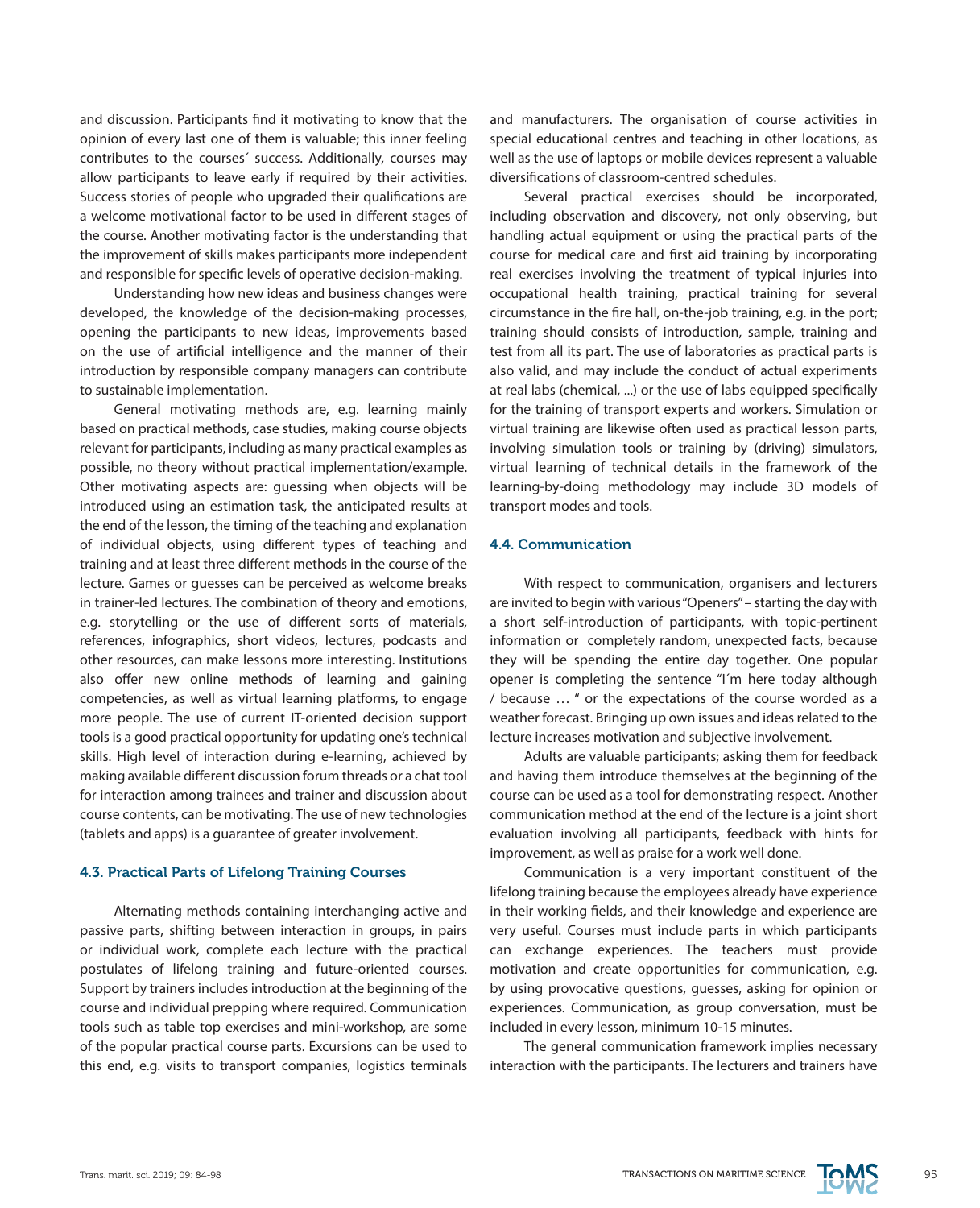and discussion. Participants find it motivating to know that the opinion of every last one of them is valuable; this inner feeling contributes to the courses´ success. Additionally, courses may allow participants to leave early if required by their activities. Success stories of people who upgraded their qualifications are a welcome motivational factor to be used in different stages of the course. Another motivating factor is the understanding that the improvement of skills makes participants more independent and responsible for specific levels of operative decision-making.

Understanding how new ideas and business changes were developed, the knowledge of the decision-making processes, opening the participants to new ideas, improvements based on the use of artificial intelligence and the manner of their introduction by responsible company managers can contribute to sustainable implementation.

General motivating methods are, e.g. learning mainly based on practical methods, case studies, making course objects relevant for participants, including as many practical examples as possible, no theory without practical implementation/example. Other motivating aspects are: guessing when objects will be introduced using an estimation task, the anticipated results at the end of the lesson, the timing of the teaching and explanation of individual objects, using different types of teaching and training and at least three different methods in the course of the lecture. Games or guesses can be perceived as welcome breaks in trainer-led lectures. The combination of theory and emotions, e.g. storytelling or the use of different sorts of materials, references, infographics, short videos, lectures, podcasts and other resources, can make lessons more interesting. Institutions also offer new online methods of learning and gaining competencies, as well as virtual learning platforms, to engage more people. The use of current IT-oriented decision support tools is a good practical opportunity for updating one's technical skills. High level of interaction during e-learning, achieved by making available different discussion forum threads or a chat tool for interaction among trainees and trainer and discussion about course contents, can be motivating. The use of new technologies (tablets and apps) is a guarantee of greater involvement.

#### 4.3. Practical Parts of Lifelong Training Courses

Alternating methods containing interchanging active and passive parts, shifting between interaction in groups, in pairs or individual work, complete each lecture with the practical postulates of lifelong training and future-oriented courses. Support by trainers includes introduction at the beginning of the course and individual prepping where required. Communication tools such as table top exercises and mini-workshop, are some of the popular practical course parts. Excursions can be used to this end, e.g. visits to transport companies, logistics terminals and manufacturers. The organisation of course activities in special educational centres and teaching in other locations, as well as the use of laptops or mobile devices represent a valuable diversifications of classroom-centred schedules.

Several practical exercises should be incorporated, including observation and discovery, not only observing, but handling actual equipment or using the practical parts of the course for medical care and first aid training by incorporating real exercises involving the treatment of typical injuries into occupational health training, practical training for several circumstance in the fire hall, on-the-job training, e.g. in the port; training should consists of introduction, sample, training and test from all its part. The use of laboratories as practical parts is also valid, and may include the conduct of actual experiments at real labs (chemical, ...) or the use of labs equipped specifically for the training of transport experts and workers. Simulation or virtual training are likewise often used as practical lesson parts, involving simulation tools or training by (driving) simulators, virtual learning of technical details in the framework of the learning-by-doing methodology may include 3D models of transport modes and tools.

### 4.4. Communication

With respect to communication, organisers and lecturers are invited to begin with various "Openers" – starting the day with a short self-introduction of participants, with topic-pertinent information or completely random, unexpected facts, because they will be spending the entire day together. One popular opener is completing the sentence "I´m here today although / because … " or the expectations of the course worded as a weather forecast. Bringing up own issues and ideas related to the lecture increases motivation and subjective involvement.

Adults are valuable participants; asking them for feedback and having them introduce themselves at the beginning of the course can be used as a tool for demonstrating respect. Another communication method at the end of the lecture is a joint short evaluation involving all participants, feedback with hints for improvement, as well as praise for a work well done.

Communication is a very important constituent of the lifelong training because the employees already have experience in their working fields, and their knowledge and experience are very useful. Courses must include parts in which participants can exchange experiences. The teachers must provide motivation and create opportunities for communication, e.g. by using provocative questions, guesses, asking for opinion or experiences. Communication, as group conversation, must be included in every lesson, minimum 10-15 minutes.

The general communication framework implies necessary interaction with the participants. The lecturers and trainers have

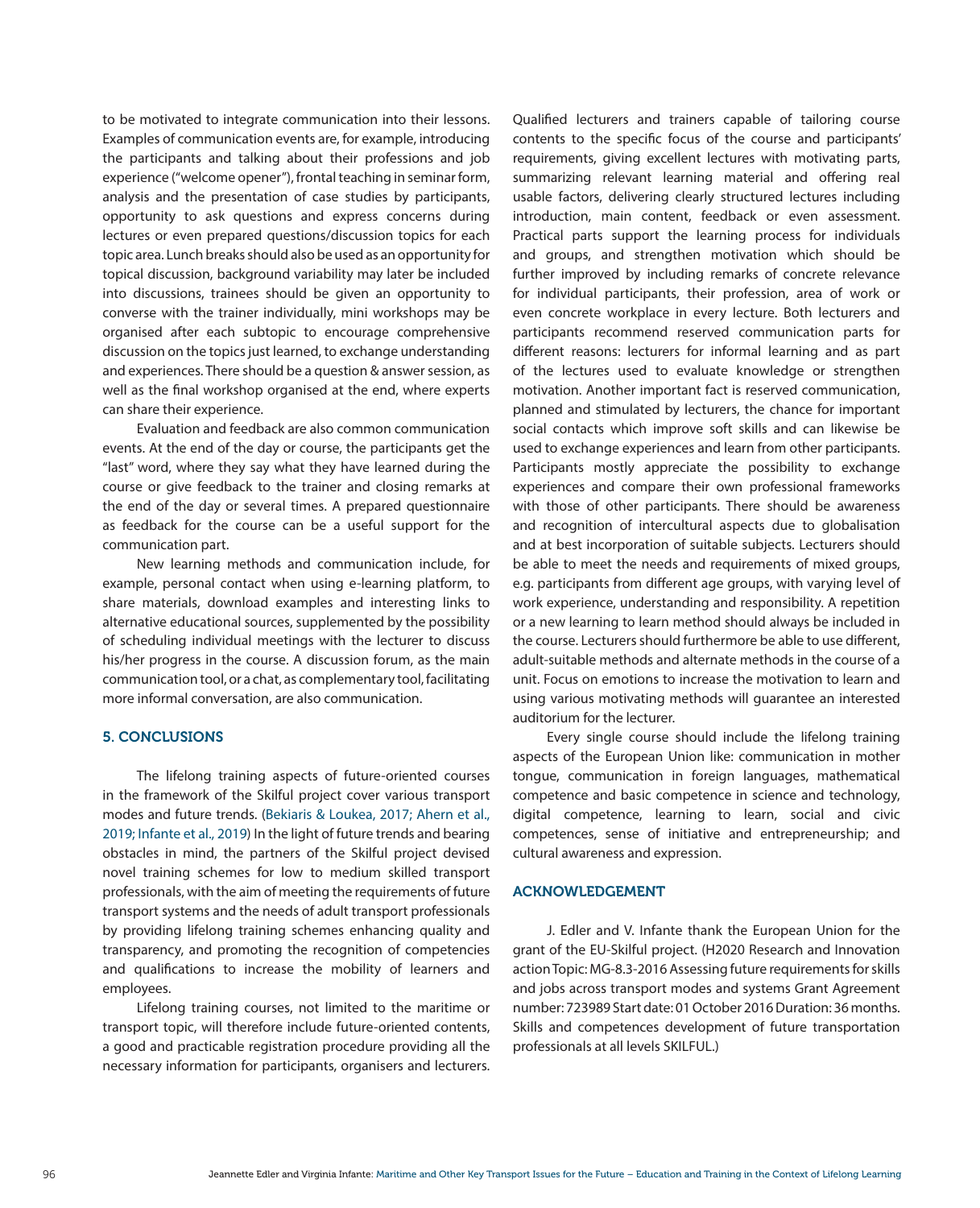to be motivated to integrate communication into their lessons. Examples of communication events are, for example, introducing the participants and talking about their professions and job experience ("welcome opener"), frontal teaching in seminar form, analysis and the presentation of case studies by participants, opportunity to ask questions and express concerns during lectures or even prepared questions/discussion topics for each topic area. Lunch breaks should also be used as an opportunity for topical discussion, background variability may later be included into discussions, trainees should be given an opportunity to converse with the trainer individually, mini workshops may be organised after each subtopic to encourage comprehensive discussion on the topics just learned, to exchange understanding and experiences. There should be a question & answer session, as well as the final workshop organised at the end, where experts can share their experience.

Evaluation and feedback are also common communication events. At the end of the day or course, the participants get the "last" word, where they say what they have learned during the course or give feedback to the trainer and closing remarks at the end of the day or several times. A prepared questionnaire as feedback for the course can be a useful support for the communication part.

New learning methods and communication include, for example, personal contact when using e-learning platform, to share materials, download examples and interesting links to alternative educational sources, supplemented by the possibility of scheduling individual meetings with the lecturer to discuss his/her progress in the course. A discussion forum, as the main communication tool, or a chat, as complementary tool, facilitating more informal conversation, are also communication.

#### 5. CONCLUSIONS

The lifelong training aspects of future-oriented courses in the framework of the Skilful project cover various transport modes and future trends. (Bekiaris & Loukea, 2017; Ahern et al., 2019; Infante et al., 2019) In the light of future trends and bearing obstacles in mind, the partners of the Skilful project devised novel training schemes for low to medium skilled transport professionals, with the aim of meeting the requirements of future transport systems and the needs of adult transport professionals by providing lifelong training schemes enhancing quality and transparency, and promoting the recognition of competencies and qualifications to increase the mobility of learners and employees.

Lifelong training courses, not limited to the maritime or transport topic, will therefore include future-oriented contents, a good and practicable registration procedure providing all the necessary information for participants, organisers and lecturers. Qualified lecturers and trainers capable of tailoring course contents to the specific focus of the course and participants' requirements, giving excellent lectures with motivating parts, summarizing relevant learning material and offering real usable factors, delivering clearly structured lectures including introduction, main content, feedback or even assessment. Practical parts support the learning process for individuals and groups, and strengthen motivation which should be further improved by including remarks of concrete relevance for individual participants, their profession, area of work or even concrete workplace in every lecture. Both lecturers and participants recommend reserved communication parts for different reasons: lecturers for informal learning and as part of the lectures used to evaluate knowledge or strengthen motivation. Another important fact is reserved communication, planned and stimulated by lecturers, the chance for important social contacts which improve soft skills and can likewise be used to exchange experiences and learn from other participants. Participants mostly appreciate the possibility to exchange experiences and compare their own professional frameworks with those of other participants. There should be awareness and recognition of intercultural aspects due to globalisation and at best incorporation of suitable subjects. Lecturers should be able to meet the needs and requirements of mixed groups, e.g. participants from different age groups, with varying level of work experience, understanding and responsibility. A repetition or a new learning to learn method should always be included in the course. Lecturers should furthermore be able to use different, adult-suitable methods and alternate methods in the course of a unit. Focus on emotions to increase the motivation to learn and using various motivating methods will guarantee an interested auditorium for the lecturer.

Every single course should include the lifelong training aspects of the European Union like: communication in mother tongue, communication in foreign languages, mathematical competence and basic competence in science and technology, digital competence, learning to learn, social and civic competences, sense of initiative and entrepreneurship; and cultural awareness and expression.

## ACKNOWLEDGEMENT

J. Edler and V. Infante thank the European Union for the grant of the EU-Skilful project. (H2020 Research and Innovation action Topic: MG-8.3-2016 Assessing future requirements for skills and jobs across transport modes and systems Grant Agreement number: 723989 Start date: 01 October 2016 Duration: 36 months. Skills and competences development of future transportation professionals at all levels SKILFUL.)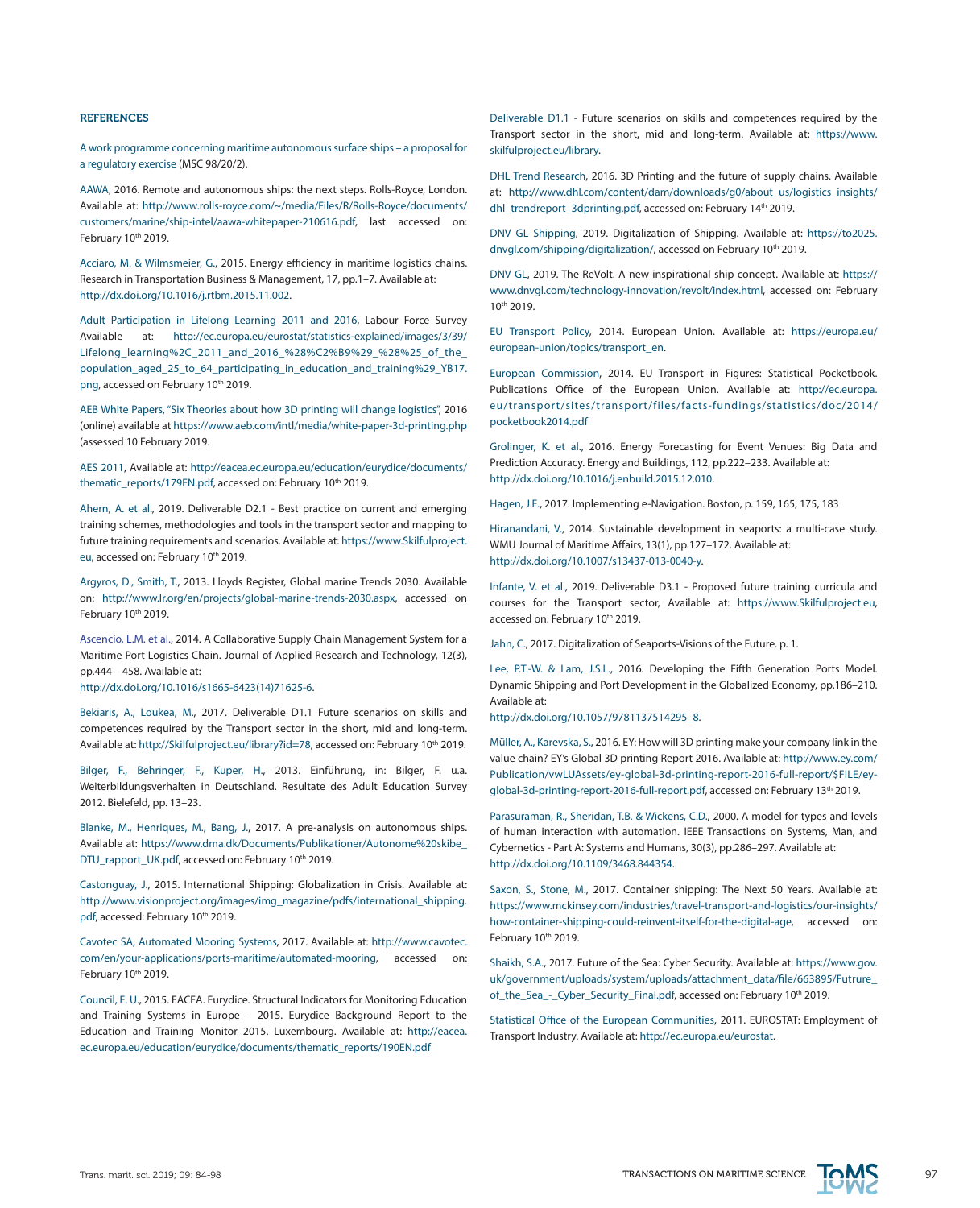#### REFERENCES

A work programme concerning maritime autonomous surface ships – a proposal for a regulatory exercise (MSC 98/20/2).

AAWA, 2016. Remote and autonomous ships: the next steps. Rolls-Royce, London. Available at: [http://www.rolls-royce.com/~/media/Files/R/Rolls-Royce/documents/](http://www.rolls-royce.com/~/media/Files/R/Rolls-Royce/documents/customers/marine/ship-intel/aawa-whitepaper-210616.pdf) [customers/marine/ship-intel/aawa-whitepaper-210616.pdf,](http://www.rolls-royce.com/~/media/Files/R/Rolls-Royce/documents/customers/marine/ship-intel/aawa-whitepaper-210616.pdf) last accessed on: February 10th 2019.

Acciaro, M. & Wilmsmeier, G., 2015. Energy efficiency in maritime logistics chains. Research in Transportation Business & Management, 17, pp.1–7. Available at: [http://dx.doi.org/10.1016/j.rtbm.2015.11.002.](http://dx.doi.org/10.1016/j.rtbm.2015.11.002)

Adult Participation in Lifelong Learning 2011 and 2016, Labour Force Survey Available at: [http://ec.europa.eu/eurostat/statistics-explained/images/3/39/](http://ec.europa.eu/eurostat/statistics-explained/images/3/39/Lifelong_learning%252C_2011_and_2016_%2528%25C2%25B9%2529_%2528%2525_of_the_population_aged_25_to_64_participating_in_education_and_training%2529_YB17.png) [Lifelong\\_learning%2C\\_2011\\_and\\_2016\\_%28%C2%B9%29\\_%28%25\\_of\\_the\\_](http://ec.europa.eu/eurostat/statistics-explained/images/3/39/Lifelong_learning%252C_2011_and_2016_%2528%25C2%25B9%2529_%2528%2525_of_the_population_aged_25_to_64_participating_in_education_and_training%2529_YB17.png) [population\\_aged\\_25\\_to\\_64\\_participating\\_in\\_education\\_and\\_training%29\\_YB17.](http://ec.europa.eu/eurostat/statistics-explained/images/3/39/Lifelong_learning%252C_2011_and_2016_%2528%25C2%25B9%2529_%2528%2525_of_the_population_aged_25_to_64_participating_in_education_and_training%2529_YB17.png) [png](http://ec.europa.eu/eurostat/statistics-explained/images/3/39/Lifelong_learning%252C_2011_and_2016_%2528%25C2%25B9%2529_%2528%2525_of_the_population_aged_25_to_64_participating_in_education_and_training%2529_YB17.png), accessed on February 10th 2019.

AEB White Papers, "Six Theories about how 3D printing will change logistics", 2016 (online) available at <https://www.aeb.com/intl/media/white-paper-3d-printing.php> (assessed 10 February 2019.

AES 2011, Available at: [http://eacea.ec.europa.eu/education/eurydice/documents/](http://eacea.ec.europa.eu/education/eurydice/documents/thematic_reports/179EN.pdf) [thematic\\_reports/179EN.pdf,](http://eacea.ec.europa.eu/education/eurydice/documents/thematic_reports/179EN.pdf) accessed on: February 10<sup>th</sup> 2019.

Ahern, A. et al., 2019. Deliverable D2.1 - Best practice on current and emerging training schemes, methodologies and tools in the transport sector and mapping to future training requirements and scenarios. Available at: [https://www.Skilfulproject.](https://www.Skilfulproject.eu) [eu,](https://www.Skilfulproject.eu) accessed on: February 10<sup>th</sup> 2019.

Argyros, D., Smith, T., 2013. Lloyds Register, Global marine Trends 2030. Available on: [http://www.lr.org/en/projects/global-marine-trends-2030.aspx,](http://www.lr.org/en/projects/global-marine-trends-2030.aspx) accessed on February 10th 2019.

Ascencio, L.M. et al., 2014. A Collaborative Supply Chain Management System for a Maritime Port Logistics Chain. Journal of Applied Research and Technology, 12(3), pp.444 – 458. Available at:

[http://dx.doi.org/10.1016/s1665-6423\(14\)71625-6](http://dx.doi.org/10.1016/s1665-6423%2814%2971625-6).

Bekiaris, A., Loukea, M., 2017. Deliverable D1.1 Future scenarios on skills and competences required by the Transport sector in the short, mid and long-term. Available at: [http://Skilfulproject.eu/library?id=78](http://Skilfulproject.eu/library%3Fid%3D78), accessed on: February 10<sup>th</sup> 2019.

Bilger, F., Behringer, F., Kuper, H., 2013. Einführung, in: Bilger, F. u.a. Weiterbildungsverhalten in Deutschland. Resultate des Adult Education Survey 2012. Bielefeld, pp. 13–23.

Blanke, M., Henriques, M., Bang, J., 2017. A pre-analysis on autonomous ships. Available at: [https://www.dma.dk/Documents/Publikationer/Autonome%20skibe\\_](https://www.dma.dk/Documents/Publikationer/Autonome%2520skibe_DTU_rapport_UK.pdf) [DTU\\_rapport\\_UK.pdf,](https://www.dma.dk/Documents/Publikationer/Autonome%2520skibe_DTU_rapport_UK.pdf) accessed on: February 10<sup>th</sup> 2019.

Castonguay, J., 2015. International Shipping: Globalization in Crisis. Available at: [http://www.visionproject.org/images/img\\_magazine/pdfs/international\\_shipping.](http://www.visionproject.org/images/img_magazine/pdfs/international_shipping.pdf) [pdf](http://www.visionproject.org/images/img_magazine/pdfs/international_shipping.pdf), accessed: February 10<sup>th</sup> 2019.

Cavotec SA, Automated Mooring Systems, 2017. Available at: [http://www.cavotec.](http://www.cavotec.com/en/your-applications/ports-maritime/automated-mooring) [com/en/your-applications/ports-maritime/automated-mooring,](http://www.cavotec.com/en/your-applications/ports-maritime/automated-mooring) accessed on: February 10th 2019.

Council, E. U., 2015. EACEA. Eurydice. Structural Indicators for Monitoring Education and Training Systems in Europe – 2015. Eurydice Background Report to the Education and Training Monitor 2015. Luxembourg. Available at: [http://eacea.](http://eacea.ec.europa.eu/education/eurydice/documents/thematic_reports/190EN.pdf) [ec.europa.eu/education/eurydice/documents/thematic\\_reports/190EN.pdf](http://eacea.ec.europa.eu/education/eurydice/documents/thematic_reports/190EN.pdf)

Deliverable D1.1 - Future scenarios on skills and competences required by the Transport sector in the short, mid and long-term. Available at: [https://www.](https://www.skilfulproject.eu/library) [skilfulproject.eu/library](https://www.skilfulproject.eu/library).

DHL Trend Research, 2016. 3D Printing and the future of supply chains. Available at: [http://www.dhl.com/content/dam/downloads/g0/about\\_us/logistics\\_insights/](http://www.dhl.com/content/dam/downloads/g0/about_us/logistics_insights/dhl_trendreport_3dprinting.pdf) [dhl\\_trendreport\\_3dprinting.pdf,](http://www.dhl.com/content/dam/downloads/g0/about_us/logistics_insights/dhl_trendreport_3dprinting.pdf) accessed on: February 14<sup>th</sup> 2019.

DNV GL Shipping, 2019. Digitalization of Shipping. Available at: [https://to2025.](https://to2025.dnvgl.com/shipping/digitalization/) [dnvgl.com/shipping/digitalization/](https://to2025.dnvgl.com/shipping/digitalization/), accessed on February 10<sup>th</sup> 2019.

DNV GL, 2019. The ReVolt. A new inspirational ship concept. Available at: [https://](https://www.dnvgl.com/technology-innovation/revolt/index.html) [www.dnvgl.com/technology-innovation/revolt/index.html](https://www.dnvgl.com/technology-innovation/revolt/index.html), accessed on: February 10th 2019.

EU Transport Policy, 2014. European Union. Available at: [https://europa.eu/](https://europa.eu/european-union/topics/transport_en) [european-union/topics/transport\\_en.](https://europa.eu/european-union/topics/transport_en)

European Commission, 2014. EU Transport in Figures: Statistical Pocketbook. Publications Office of the European Union. Available at: [http://ec.europa.](http://ec.europa.eu/transport/sites/transport/files/facts-fundings/statistics/doc/2014/pocketbook2014.pdf) [eu/transport/sites/transport/files/facts-fundings/statistics/doc/2014/](http://ec.europa.eu/transport/sites/transport/files/facts-fundings/statistics/doc/2014/pocketbook2014.pdf) [pocketbook2014.pdf](http://ec.europa.eu/transport/sites/transport/files/facts-fundings/statistics/doc/2014/pocketbook2014.pdf)

Grolinger, K. et al., 2016. Energy Forecasting for Event Venues: Big Data and Prediction Accuracy. Energy and Buildings, 112, pp.222–233. Available at: [http://dx.doi.org/10.1016/j.enbuild.2015.12.010.](http://dx.doi.org/10.1016/j.enbuild.2015.12.010)

Hagen, J.E., 2017. Implementing e-Navigation. Boston, p. 159, 165, 175, 183

Hiranandani, V., 2014. Sustainable development in seaports: a multi-case study. WMU Journal of Maritime Affairs, 13(1), pp.127–172. Available at: <http://dx.doi.org/10.1007/s13437-013-0040-y>.

Infante, V. et al., 2019. Deliverable D3.1 - Proposed future training curricula and courses for the Transport sector, Available at: <https://www.Skilfulproject.eu>, accessed on: February 10th 2019.

Jahn, C., 2017. Digitalization of Seaports-Visions of the Future. p. 1.

Lee, P.T.-W. & Lam, J.S.L., 2016. Developing the Fifth Generation Ports Model. Dynamic Shipping and Port Development in the Globalized Economy, pp.186–210. Available at:

[http://dx.doi.org/10.1057/9781137514295\\_8.](http://dx.doi.org/10.1057/9781137514295_8)

Müller, A., Karevska, S., 2016. EY: How will 3D printing make your company link in the value chain? EY's Global 3D printing Report 2016. Available at: [http://www.ey.com/](http://www.ey.com/Publication/vwLUAssets/ey-global-3d-printing-report-2016-full-report/%24FILE/ey-global-3d-printing-report-2016-full-report.pdf) [Publication/vwLUAssets/ey-global-3d-printing-report-2016-full-report/\\$FILE/ey](http://www.ey.com/Publication/vwLUAssets/ey-global-3d-printing-report-2016-full-report/%24FILE/ey-global-3d-printing-report-2016-full-report.pdf)[global-3d-printing-report-2016-full-report.pdf](http://www.ey.com/Publication/vwLUAssets/ey-global-3d-printing-report-2016-full-report/%24FILE/ey-global-3d-printing-report-2016-full-report.pdf), accessed on: February 13<sup>th</sup> 2019.

Parasuraman, R., Sheridan, T.B. & Wickens, C.D., 2000. A model for types and levels of human interaction with automation. IEEE Transactions on Systems, Man, and Cybernetics - Part A: Systems and Humans, 30(3), pp.286–297. Available at: <http://dx.doi.org/10.1109/3468.844354>.

Saxon, S., Stone, M., 2017. Container shipping: The Next 50 Years. Available at: [https://www.mckinsey.com/industries/travel-transport-and-logistics/our-insights/](https://www.mckinsey.com/industries/travel-transport-and-logistics/our-insights/how-container-shipping-could-reinvent-itself-for-the-digital-age) [how-container-shipping-could-reinvent-itself-for-the-digital-age](https://www.mckinsey.com/industries/travel-transport-and-logistics/our-insights/how-container-shipping-could-reinvent-itself-for-the-digital-age), accessed on: February 10th 2019.

Shaikh, S.A., 2017. Future of the Sea: Cyber Security. Available at: [https://www.gov.](https://www.gov.uk/government/uploads/system/uploads/attachment_data/file/663895/Futrure_of_the_Sea_-_Cyber_Security_Final.pdf) [uk/government/uploads/system/uploads/attachment\\_data/file/663895/Futrure\\_](https://www.gov.uk/government/uploads/system/uploads/attachment_data/file/663895/Futrure_of_the_Sea_-_Cyber_Security_Final.pdf) [of\\_the\\_Sea\\_-\\_Cyber\\_Security\\_Final.pdf](https://www.gov.uk/government/uploads/system/uploads/attachment_data/file/663895/Futrure_of_the_Sea_-_Cyber_Security_Final.pdf), accessed on: February 10<sup>th</sup> 2019.

Statistical Office of the European Communities, 2011. EUROSTAT: Employment of Transport Industry. Available at: [http://ec.europa.eu/eurostat.](http://ec.europa.eu/eurostat)